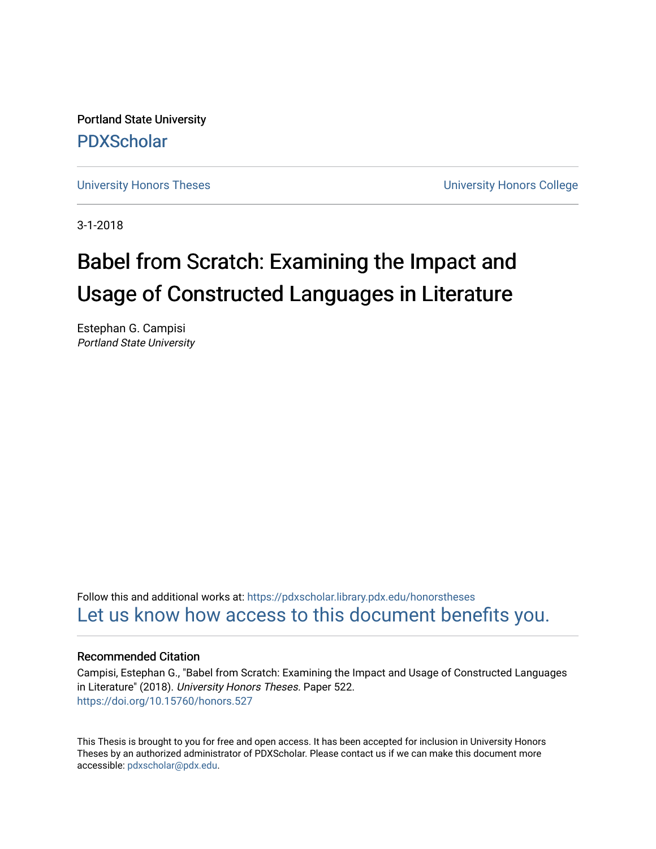Portland State University [PDXScholar](https://pdxscholar.library.pdx.edu/)

[University Honors Theses](https://pdxscholar.library.pdx.edu/honorstheses) [University Honors College](https://pdxscholar.library.pdx.edu/honors) 

3-1-2018

# Babel from Scratch: Examining the Impact and Usage of Constructed Languages in Literature

Estephan G. Campisi Portland State University

Follow this and additional works at: [https://pdxscholar.library.pdx.edu/honorstheses](https://pdxscholar.library.pdx.edu/honorstheses?utm_source=pdxscholar.library.pdx.edu%2Fhonorstheses%2F522&utm_medium=PDF&utm_campaign=PDFCoverPages)  [Let us know how access to this document benefits you.](http://library.pdx.edu/services/pdxscholar-services/pdxscholar-feedback/) 

## Recommended Citation

Campisi, Estephan G., "Babel from Scratch: Examining the Impact and Usage of Constructed Languages in Literature" (2018). University Honors Theses. Paper 522. <https://doi.org/10.15760/honors.527>

This Thesis is brought to you for free and open access. It has been accepted for inclusion in University Honors Theses by an authorized administrator of PDXScholar. Please contact us if we can make this document more accessible: [pdxscholar@pdx.edu.](mailto:pdxscholar@pdx.edu)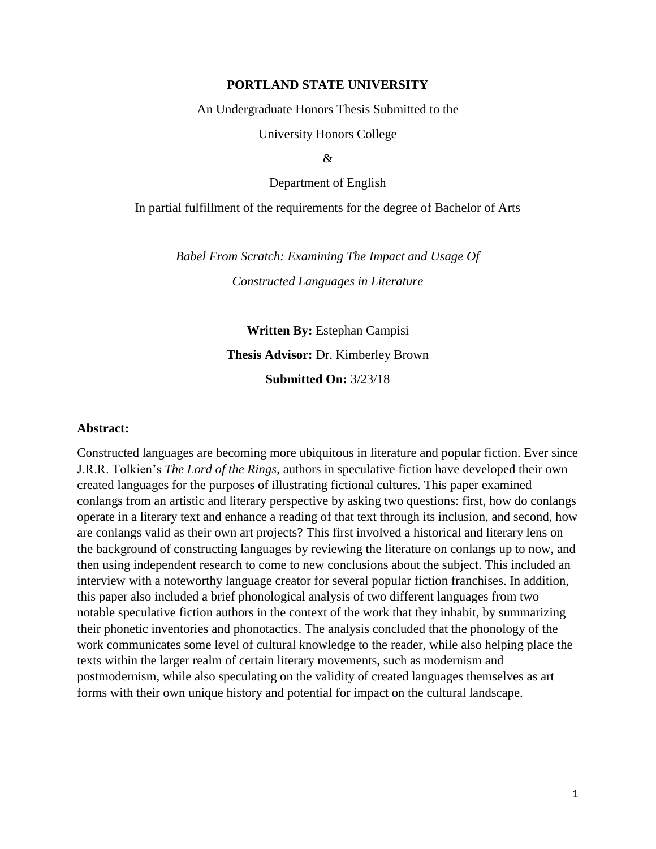## **PORTLAND STATE UNIVERSITY**

An Undergraduate Honors Thesis Submitted to the

University Honors College

&

Department of English

## In partial fulfillment of the requirements for the degree of Bachelor of Arts

*Babel From Scratch: Examining The Impact and Usage Of Constructed Languages in Literature*

> **Written By:** Estephan Campisi **Thesis Advisor:** Dr. Kimberley Brown **Submitted On:** 3/23/18

#### **Abstract:**

Constructed languages are becoming more ubiquitous in literature and popular fiction. Ever since J.R.R. Tolkien's *The Lord of the Rings*, authors in speculative fiction have developed their own created languages for the purposes of illustrating fictional cultures. This paper examined conlangs from an artistic and literary perspective by asking two questions: first, how do conlangs operate in a literary text and enhance a reading of that text through its inclusion, and second, how are conlangs valid as their own art projects? This first involved a historical and literary lens on the background of constructing languages by reviewing the literature on conlangs up to now, and then using independent research to come to new conclusions about the subject. This included an interview with a noteworthy language creator for several popular fiction franchises. In addition, this paper also included a brief phonological analysis of two different languages from two notable speculative fiction authors in the context of the work that they inhabit, by summarizing their phonetic inventories and phonotactics. The analysis concluded that the phonology of the work communicates some level of cultural knowledge to the reader, while also helping place the texts within the larger realm of certain literary movements, such as modernism and postmodernism, while also speculating on the validity of created languages themselves as art forms with their own unique history and potential for impact on the cultural landscape.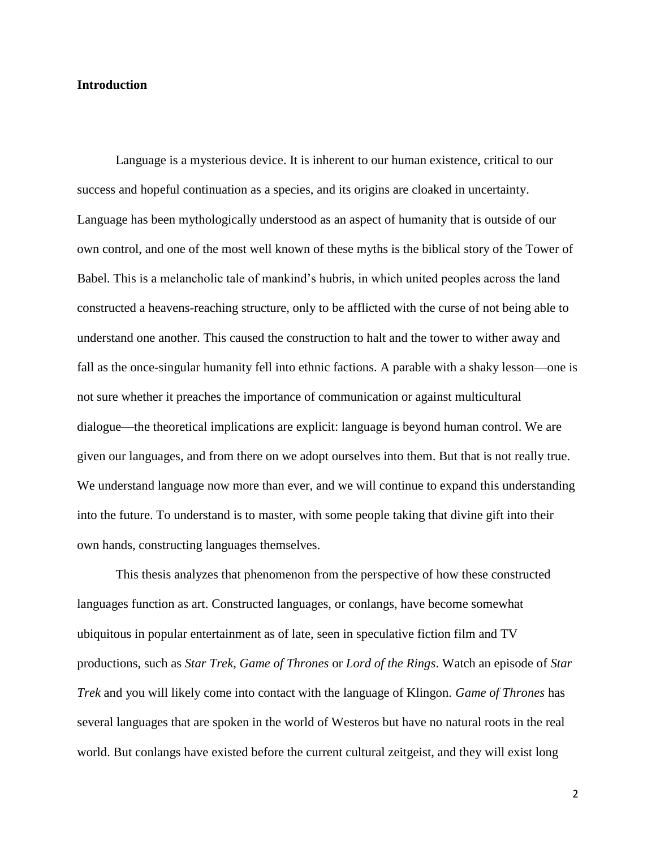## **Introduction**

Language is a mysterious device. It is inherent to our human existence, critical to our success and hopeful continuation as a species, and its origins are cloaked in uncertainty. Language has been mythologically understood as an aspect of humanity that is outside of our own control, and one of the most well known of these myths is the biblical story of the Tower of Babel. This is a melancholic tale of mankind's hubris, in which united peoples across the land constructed a heavens-reaching structure, only to be afflicted with the curse of not being able to understand one another. This caused the construction to halt and the tower to wither away and fall as the once-singular humanity fell into ethnic factions. A parable with a shaky lesson—one is not sure whether it preaches the importance of communication or against multicultural dialogue—the theoretical implications are explicit: language is beyond human control. We are given our languages, and from there on we adopt ourselves into them. But that is not really true. We understand language now more than ever, and we will continue to expand this understanding into the future. To understand is to master, with some people taking that divine gift into their own hands, constructing languages themselves.

This thesis analyzes that phenomenon from the perspective of how these constructed languages function as art. Constructed languages, or conlangs, have become somewhat ubiquitous in popular entertainment as of late, seen in speculative fiction film and TV productions, such as *Star Trek*, *Game of Thrones* or *Lord of the Rings*. Watch an episode of *Star Trek* and you will likely come into contact with the language of Klingon. *Game of Thrones* has several languages that are spoken in the world of Westeros but have no natural roots in the real world. But conlangs have existed before the current cultural zeitgeist, and they will exist long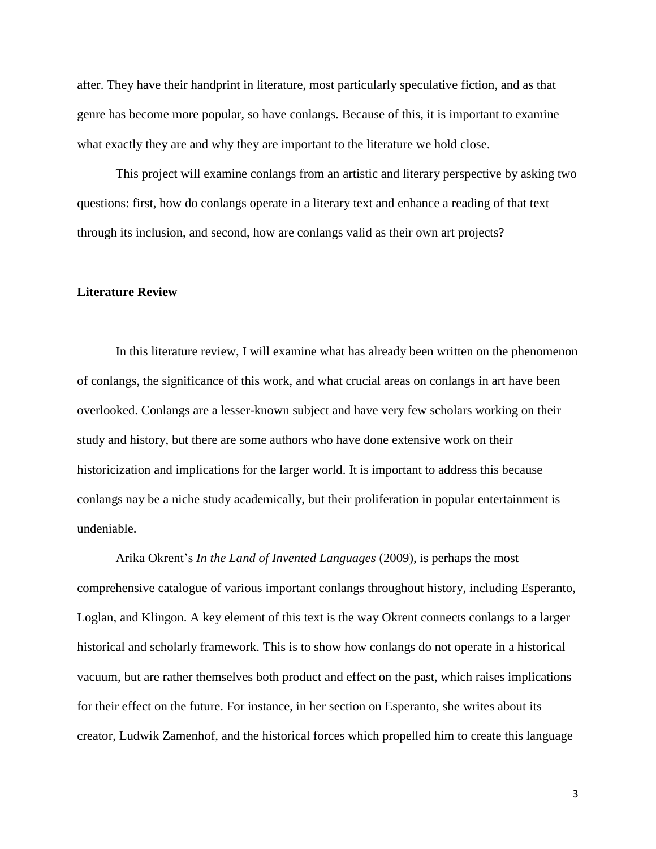after. They have their handprint in literature, most particularly speculative fiction, and as that genre has become more popular, so have conlangs. Because of this, it is important to examine what exactly they are and why they are important to the literature we hold close.

This project will examine conlangs from an artistic and literary perspective by asking two questions: first, how do conlangs operate in a literary text and enhance a reading of that text through its inclusion, and second, how are conlangs valid as their own art projects?

#### **Literature Review**

In this literature review, I will examine what has already been written on the phenomenon of conlangs, the significance of this work, and what crucial areas on conlangs in art have been overlooked. Conlangs are a lesser-known subject and have very few scholars working on their study and history, but there are some authors who have done extensive work on their historicization and implications for the larger world. It is important to address this because conlangs nay be a niche study academically, but their proliferation in popular entertainment is undeniable.

Arika Okrent's *In the Land of Invented Languages* (2009), is perhaps the most comprehensive catalogue of various important conlangs throughout history, including Esperanto, Loglan, and Klingon. A key element of this text is the way Okrent connects conlangs to a larger historical and scholarly framework. This is to show how conlangs do not operate in a historical vacuum, but are rather themselves both product and effect on the past, which raises implications for their effect on the future. For instance, in her section on Esperanto, she writes about its creator, Ludwik Zamenhof, and the historical forces which propelled him to create this language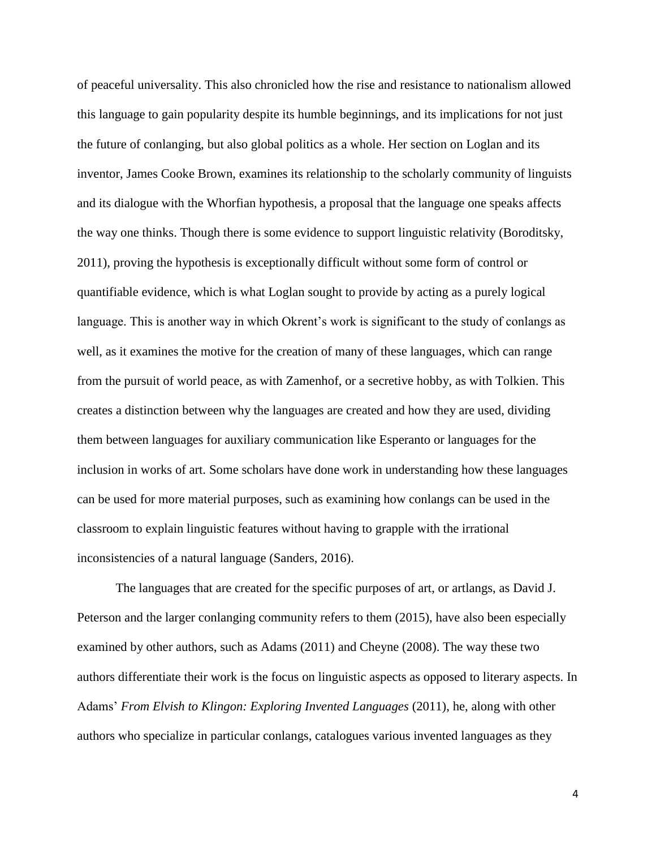of peaceful universality. This also chronicled how the rise and resistance to nationalism allowed this language to gain popularity despite its humble beginnings, and its implications for not just the future of conlanging, but also global politics as a whole. Her section on Loglan and its inventor, James Cooke Brown, examines its relationship to the scholarly community of linguists and its dialogue with the Whorfian hypothesis, a proposal that the language one speaks affects the way one thinks. Though there is some evidence to support linguistic relativity (Boroditsky, 2011), proving the hypothesis is exceptionally difficult without some form of control or quantifiable evidence, which is what Loglan sought to provide by acting as a purely logical language. This is another way in which Okrent's work is significant to the study of conlangs as well, as it examines the motive for the creation of many of these languages, which can range from the pursuit of world peace, as with Zamenhof, or a secretive hobby, as with Tolkien. This creates a distinction between why the languages are created and how they are used, dividing them between languages for auxiliary communication like Esperanto or languages for the inclusion in works of art. Some scholars have done work in understanding how these languages can be used for more material purposes, such as examining how conlangs can be used in the classroom to explain linguistic features without having to grapple with the irrational inconsistencies of a natural language (Sanders, 2016).

The languages that are created for the specific purposes of art, or artlangs, as David J. Peterson and the larger conlanging community refers to them (2015), have also been especially examined by other authors, such as Adams (2011) and Cheyne (2008). The way these two authors differentiate their work is the focus on linguistic aspects as opposed to literary aspects. In Adams' *From Elvish to Klingon: Exploring Invented Languages* (2011), he, along with other authors who specialize in particular conlangs, catalogues various invented languages as they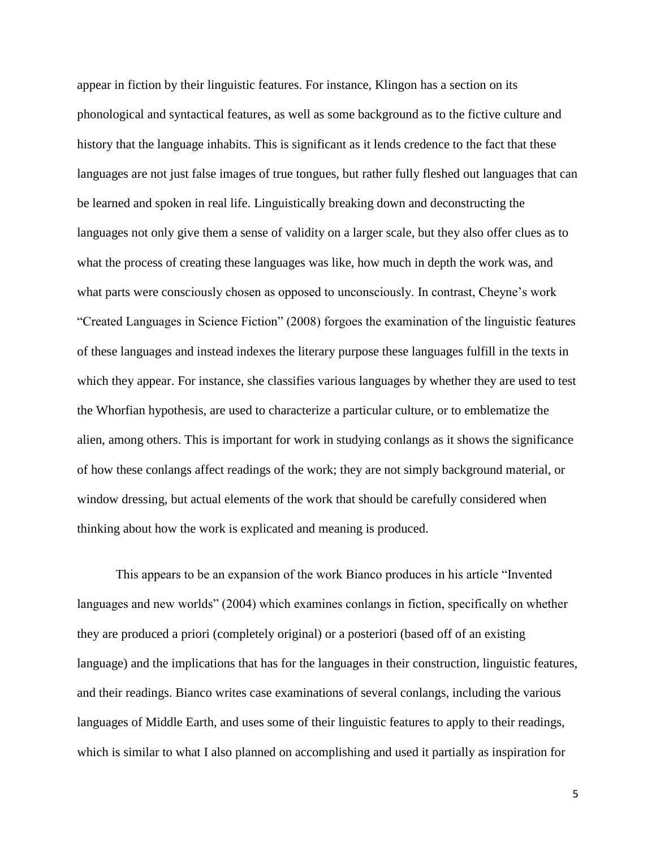appear in fiction by their linguistic features. For instance, Klingon has a section on its phonological and syntactical features, as well as some background as to the fictive culture and history that the language inhabits. This is significant as it lends credence to the fact that these languages are not just false images of true tongues, but rather fully fleshed out languages that can be learned and spoken in real life. Linguistically breaking down and deconstructing the languages not only give them a sense of validity on a larger scale, but they also offer clues as to what the process of creating these languages was like, how much in depth the work was, and what parts were consciously chosen as opposed to unconsciously. In contrast, Cheyne's work "Created Languages in Science Fiction" (2008) forgoes the examination of the linguistic features of these languages and instead indexes the literary purpose these languages fulfill in the texts in which they appear. For instance, she classifies various languages by whether they are used to test the Whorfian hypothesis, are used to characterize a particular culture, or to emblematize the alien, among others. This is important for work in studying conlangs as it shows the significance of how these conlangs affect readings of the work; they are not simply background material, or window dressing, but actual elements of the work that should be carefully considered when thinking about how the work is explicated and meaning is produced.

This appears to be an expansion of the work Bianco produces in his article "Invented languages and new worlds" (2004) which examines conlangs in fiction, specifically on whether they are produced a priori (completely original) or a posteriori (based off of an existing language) and the implications that has for the languages in their construction, linguistic features, and their readings. Bianco writes case examinations of several conlangs, including the various languages of Middle Earth, and uses some of their linguistic features to apply to their readings, which is similar to what I also planned on accomplishing and used it partially as inspiration for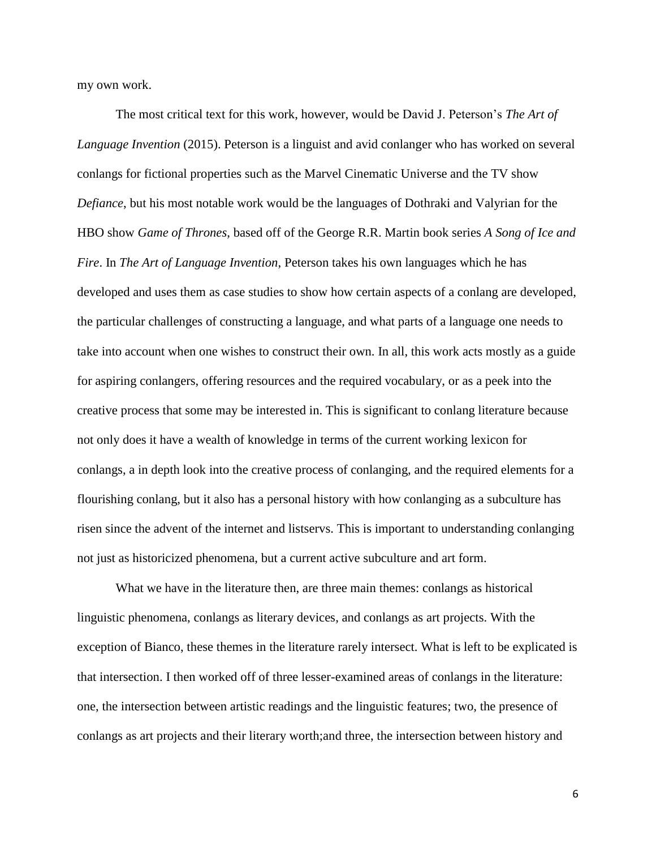my own work.

The most critical text for this work, however, would be David J. Peterson's *The Art of Language Invention* (2015). Peterson is a linguist and avid conlanger who has worked on several conlangs for fictional properties such as the Marvel Cinematic Universe and the TV show *Defiance*, but his most notable work would be the languages of Dothraki and Valyrian for the HBO show *Game of Thrones*, based off of the George R.R. Martin book series *A Song of Ice and Fire*. In *The Art of Language Invention*, Peterson takes his own languages which he has developed and uses them as case studies to show how certain aspects of a conlang are developed, the particular challenges of constructing a language, and what parts of a language one needs to take into account when one wishes to construct their own. In all, this work acts mostly as a guide for aspiring conlangers, offering resources and the required vocabulary, or as a peek into the creative process that some may be interested in. This is significant to conlang literature because not only does it have a wealth of knowledge in terms of the current working lexicon for conlangs, a in depth look into the creative process of conlanging, and the required elements for a flourishing conlang, but it also has a personal history with how conlanging as a subculture has risen since the advent of the internet and listservs. This is important to understanding conlanging not just as historicized phenomena, but a current active subculture and art form.

What we have in the literature then, are three main themes: conlangs as historical linguistic phenomena, conlangs as literary devices, and conlangs as art projects. With the exception of Bianco, these themes in the literature rarely intersect. What is left to be explicated is that intersection. I then worked off of three lesser-examined areas of conlangs in the literature: one, the intersection between artistic readings and the linguistic features; two, the presence of conlangs as art projects and their literary worth;and three, the intersection between history and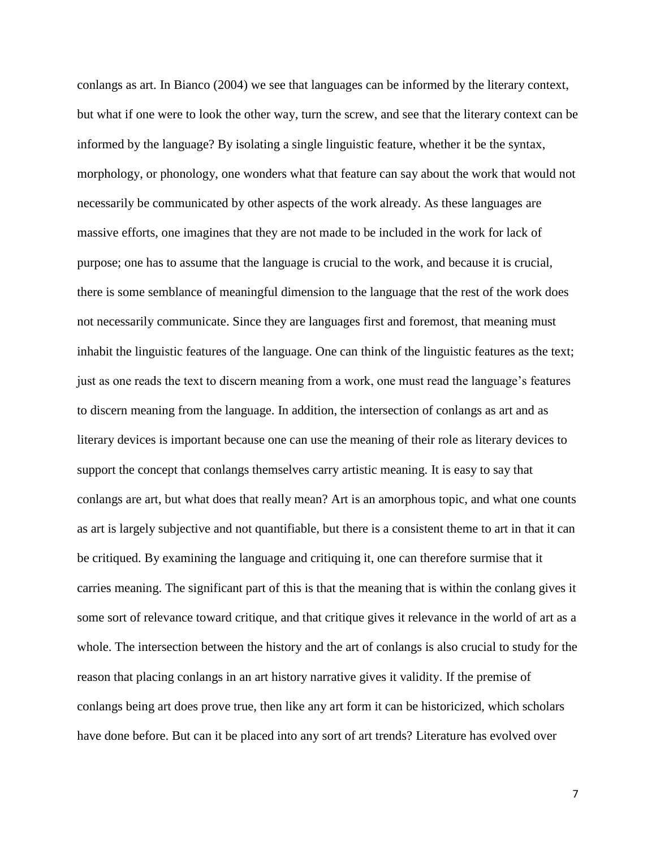conlangs as art. In Bianco (2004) we see that languages can be informed by the literary context, but what if one were to look the other way, turn the screw, and see that the literary context can be informed by the language? By isolating a single linguistic feature, whether it be the syntax, morphology, or phonology, one wonders what that feature can say about the work that would not necessarily be communicated by other aspects of the work already. As these languages are massive efforts, one imagines that they are not made to be included in the work for lack of purpose; one has to assume that the language is crucial to the work, and because it is crucial, there is some semblance of meaningful dimension to the language that the rest of the work does not necessarily communicate. Since they are languages first and foremost, that meaning must inhabit the linguistic features of the language. One can think of the linguistic features as the text; just as one reads the text to discern meaning from a work, one must read the language's features to discern meaning from the language. In addition, the intersection of conlangs as art and as literary devices is important because one can use the meaning of their role as literary devices to support the concept that conlangs themselves carry artistic meaning. It is easy to say that conlangs are art, but what does that really mean? Art is an amorphous topic, and what one counts as art is largely subjective and not quantifiable, but there is a consistent theme to art in that it can be critiqued. By examining the language and critiquing it, one can therefore surmise that it carries meaning. The significant part of this is that the meaning that is within the conlang gives it some sort of relevance toward critique, and that critique gives it relevance in the world of art as a whole. The intersection between the history and the art of conlangs is also crucial to study for the reason that placing conlangs in an art history narrative gives it validity. If the premise of conlangs being art does prove true, then like any art form it can be historicized, which scholars have done before. But can it be placed into any sort of art trends? Literature has evolved over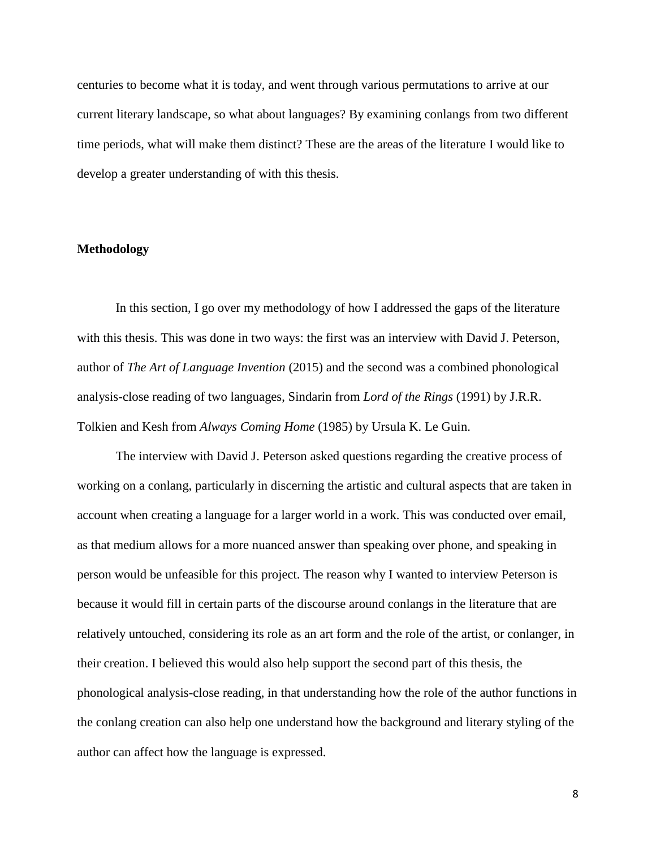centuries to become what it is today, and went through various permutations to arrive at our current literary landscape, so what about languages? By examining conlangs from two different time periods, what will make them distinct? These are the areas of the literature I would like to develop a greater understanding of with this thesis.

## **Methodology**

In this section, I go over my methodology of how I addressed the gaps of the literature with this thesis. This was done in two ways: the first was an interview with David J. Peterson, author of *The Art of Language Invention* (2015) and the second was a combined phonological analysis-close reading of two languages, Sindarin from *Lord of the Rings* (1991) by J.R.R. Tolkien and Kesh from *Always Coming Home* (1985) by Ursula K. Le Guin.

The interview with David J. Peterson asked questions regarding the creative process of working on a conlang, particularly in discerning the artistic and cultural aspects that are taken in account when creating a language for a larger world in a work. This was conducted over email, as that medium allows for a more nuanced answer than speaking over phone, and speaking in person would be unfeasible for this project. The reason why I wanted to interview Peterson is because it would fill in certain parts of the discourse around conlangs in the literature that are relatively untouched, considering its role as an art form and the role of the artist, or conlanger, in their creation. I believed this would also help support the second part of this thesis, the phonological analysis-close reading, in that understanding how the role of the author functions in the conlang creation can also help one understand how the background and literary styling of the author can affect how the language is expressed.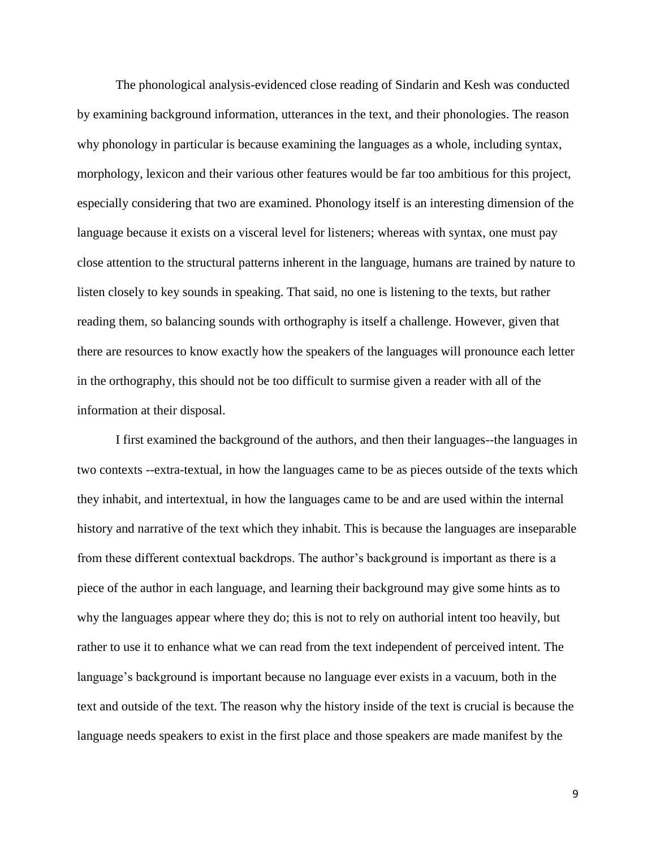The phonological analysis-evidenced close reading of Sindarin and Kesh was conducted by examining background information, utterances in the text, and their phonologies. The reason why phonology in particular is because examining the languages as a whole, including syntax, morphology, lexicon and their various other features would be far too ambitious for this project, especially considering that two are examined. Phonology itself is an interesting dimension of the language because it exists on a visceral level for listeners; whereas with syntax, one must pay close attention to the structural patterns inherent in the language, humans are trained by nature to listen closely to key sounds in speaking. That said, no one is listening to the texts, but rather reading them, so balancing sounds with orthography is itself a challenge. However, given that there are resources to know exactly how the speakers of the languages will pronounce each letter in the orthography, this should not be too difficult to surmise given a reader with all of the information at their disposal.

I first examined the background of the authors, and then their languages--the languages in two contexts --extra-textual, in how the languages came to be as pieces outside of the texts which they inhabit, and intertextual, in how the languages came to be and are used within the internal history and narrative of the text which they inhabit. This is because the languages are inseparable from these different contextual backdrops. The author's background is important as there is a piece of the author in each language, and learning their background may give some hints as to why the languages appear where they do; this is not to rely on authorial intent too heavily, but rather to use it to enhance what we can read from the text independent of perceived intent. The language's background is important because no language ever exists in a vacuum, both in the text and outside of the text. The reason why the history inside of the text is crucial is because the language needs speakers to exist in the first place and those speakers are made manifest by the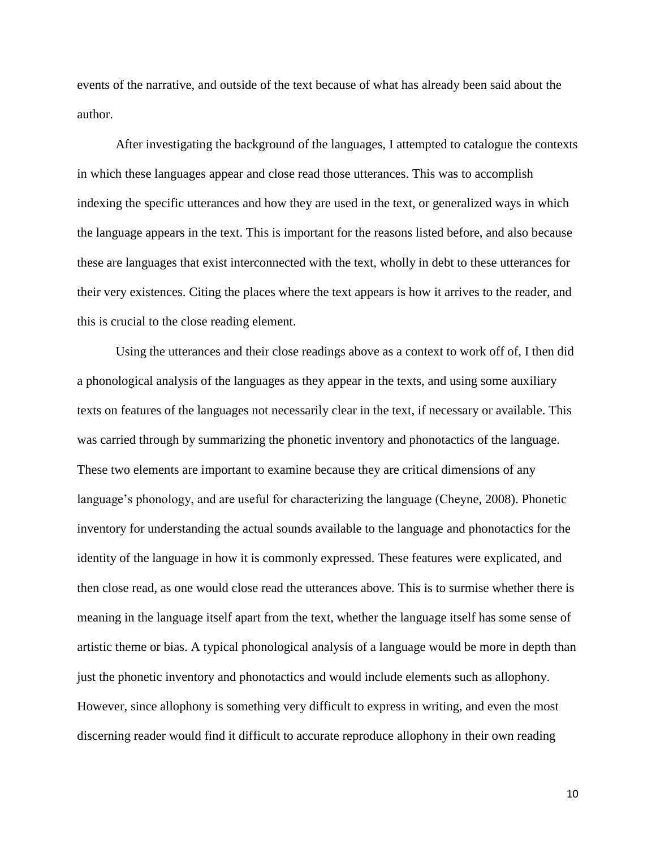events of the narrative, and outside of the text because of what has already been said about the author.

After investigating the background of the languages, I attempted to catalogue the contexts in which these languages appear and close read those utterances. This was to accomplish indexing the specific utterances and how they are used in the text, or generalized ways in which the language appears in the text. This is important for the reasons listed before, and also because these are languages that exist interconnected with the text, wholly in debt to these utterances for their very existences. Citing the places where the text appears is how it arrives to the reader, and this is crucial to the close reading element.

Using the utterances and their close readings above as a context to work off of, I then did a phonological analysis of the languages as they appear in the texts, and using some auxiliary texts on features of the languages not necessarily clear in the text, if necessary or available. This was carried through by summarizing the phonetic inventory and phonotactics of the language. These two elements are important to examine because they are critical dimensions of any language's phonology, and are useful for characterizing the language (Cheyne, 2008). Phonetic inventory for understanding the actual sounds available to the language and phonotactics for the identity of the language in how it is commonly expressed. These features were explicated, and then close read, as one would close read the utterances above. This is to surmise whether there is meaning in the language itself apart from the text, whether the language itself has some sense of artistic theme or bias. A typical phonological analysis of a language would be more in depth than just the phonetic inventory and phonotactics and would include elements such as allophony. However, since allophony is something very difficult to express in writing, and even the most discerning reader would find it difficult to accurate reproduce allophony in their own reading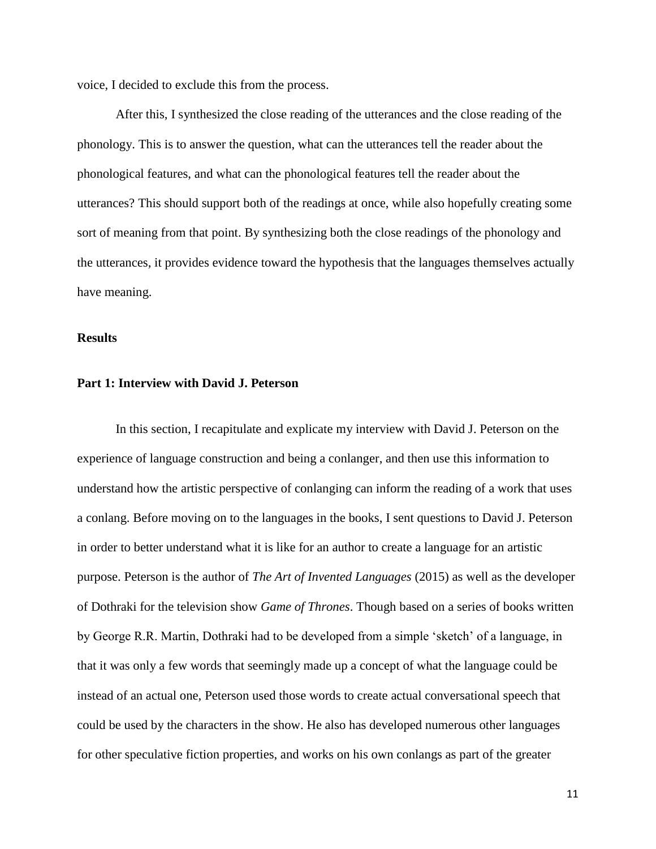voice, I decided to exclude this from the process.

After this, I synthesized the close reading of the utterances and the close reading of the phonology. This is to answer the question, what can the utterances tell the reader about the phonological features, and what can the phonological features tell the reader about the utterances? This should support both of the readings at once, while also hopefully creating some sort of meaning from that point. By synthesizing both the close readings of the phonology and the utterances, it provides evidence toward the hypothesis that the languages themselves actually have meaning.

#### **Results**

## **Part 1: Interview with David J. Peterson**

In this section, I recapitulate and explicate my interview with David J. Peterson on the experience of language construction and being a conlanger, and then use this information to understand how the artistic perspective of conlanging can inform the reading of a work that uses a conlang. Before moving on to the languages in the books, I sent questions to David J. Peterson in order to better understand what it is like for an author to create a language for an artistic purpose. Peterson is the author of *The Art of Invented Languages* (2015) as well as the developer of Dothraki for the television show *Game of Thrones*. Though based on a series of books written by George R.R. Martin, Dothraki had to be developed from a simple 'sketch' of a language, in that it was only a few words that seemingly made up a concept of what the language could be instead of an actual one, Peterson used those words to create actual conversational speech that could be used by the characters in the show. He also has developed numerous other languages for other speculative fiction properties, and works on his own conlangs as part of the greater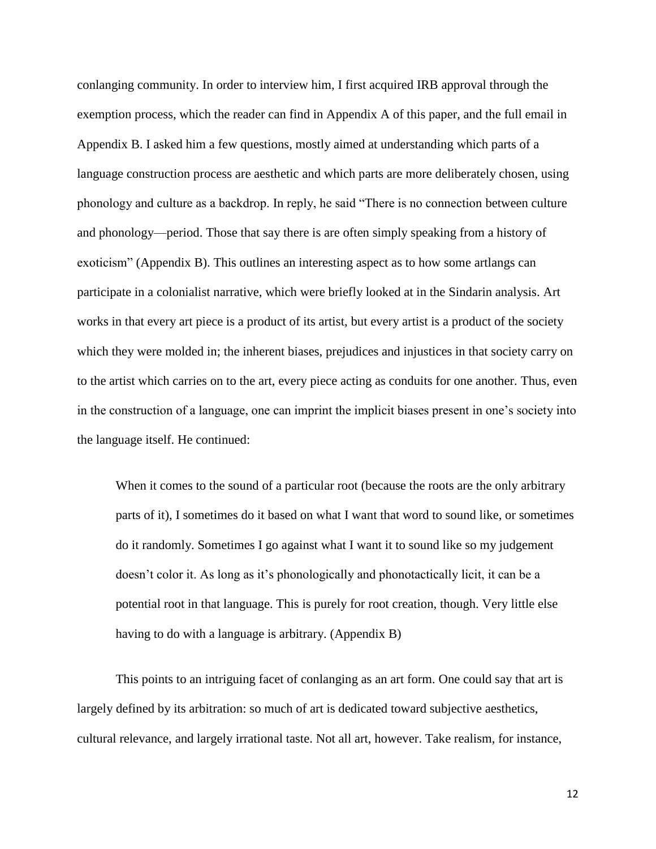conlanging community. In order to interview him, I first acquired IRB approval through the exemption process, which the reader can find in Appendix A of this paper, and the full email in Appendix B. I asked him a few questions, mostly aimed at understanding which parts of a language construction process are aesthetic and which parts are more deliberately chosen, using phonology and culture as a backdrop. In reply, he said "There is no connection between culture and phonology—period. Those that say there is are often simply speaking from a history of exoticism" (Appendix B). This outlines an interesting aspect as to how some artlangs can participate in a colonialist narrative, which were briefly looked at in the Sindarin analysis. Art works in that every art piece is a product of its artist, but every artist is a product of the society which they were molded in; the inherent biases, prejudices and injustices in that society carry on to the artist which carries on to the art, every piece acting as conduits for one another. Thus, even in the construction of a language, one can imprint the implicit biases present in one's society into the language itself. He continued:

When it comes to the sound of a particular root (because the roots are the only arbitrary parts of it), I sometimes do it based on what I want that word to sound like, or sometimes do it randomly. Sometimes I go against what I want it to sound like so my judgement doesn't color it. As long as it's phonologically and phonotactically licit, it can be a potential root in that language. This is purely for root creation, though. Very little else having to do with a language is arbitrary. (Appendix B)

This points to an intriguing facet of conlanging as an art form. One could say that art is largely defined by its arbitration: so much of art is dedicated toward subjective aesthetics, cultural relevance, and largely irrational taste. Not all art, however. Take realism, for instance,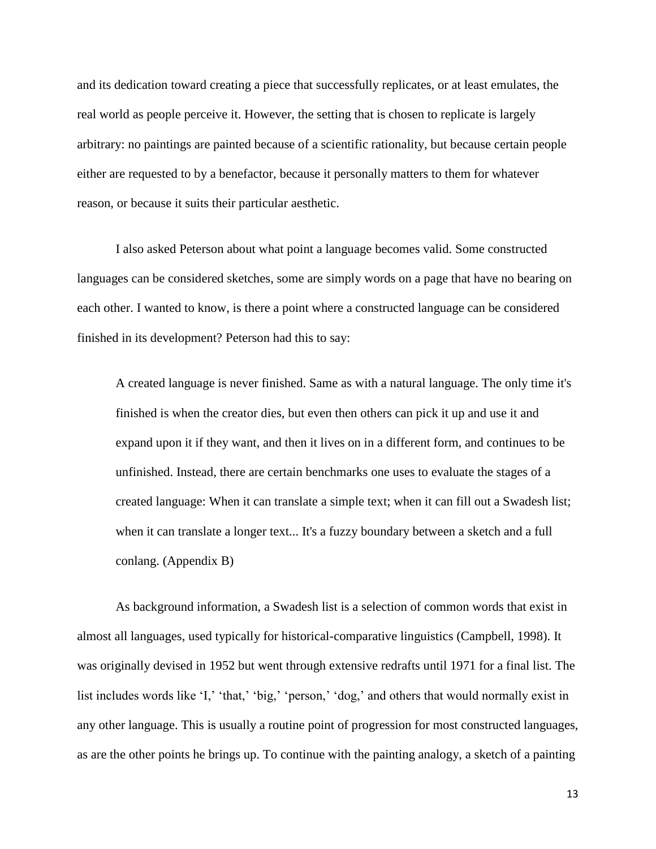and its dedication toward creating a piece that successfully replicates, or at least emulates, the real world as people perceive it. However, the setting that is chosen to replicate is largely arbitrary: no paintings are painted because of a scientific rationality, but because certain people either are requested to by a benefactor, because it personally matters to them for whatever reason, or because it suits their particular aesthetic.

I also asked Peterson about what point a language becomes valid. Some constructed languages can be considered sketches, some are simply words on a page that have no bearing on each other. I wanted to know, is there a point where a constructed language can be considered finished in its development? Peterson had this to say:

A created language is never finished. Same as with a natural language. The only time it's finished is when the creator dies, but even then others can pick it up and use it and expand upon it if they want, and then it lives on in a different form, and continues to be unfinished. Instead, there are certain benchmarks one uses to evaluate the stages of a created language: When it can translate a simple text; when it can fill out a Swadesh list; when it can translate a longer text... It's a fuzzy boundary between a sketch and a full conlang. (Appendix B)

As background information, a Swadesh list is a selection of common words that exist in almost all languages, used typically for historical-comparative linguistics (Campbell, 1998). It was originally devised in 1952 but went through extensive redrafts until 1971 for a final list. The list includes words like 'I,' 'that,' 'big,' 'person,' 'dog,' and others that would normally exist in any other language. This is usually a routine point of progression for most constructed languages, as are the other points he brings up. To continue with the painting analogy, a sketch of a painting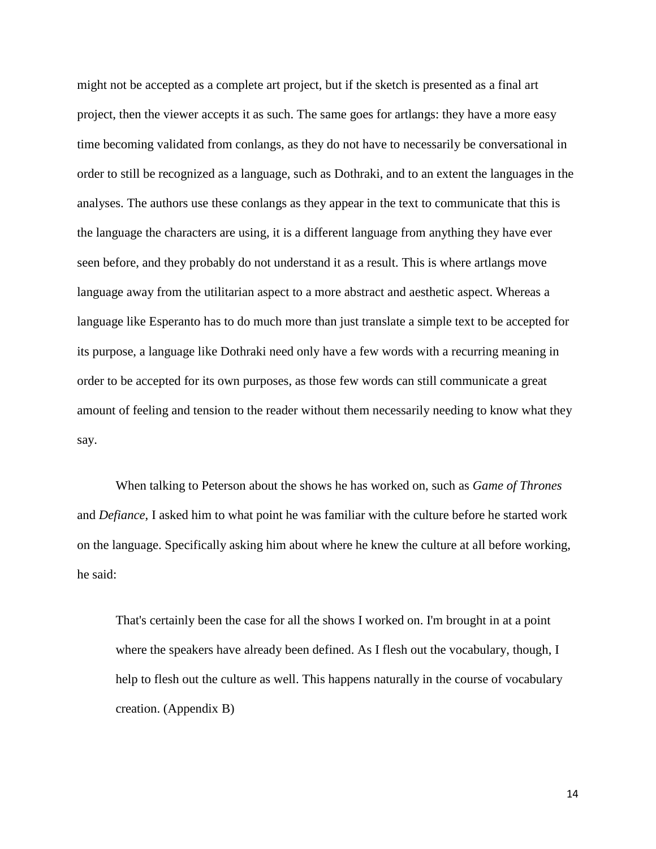might not be accepted as a complete art project, but if the sketch is presented as a final art project, then the viewer accepts it as such. The same goes for artlangs: they have a more easy time becoming validated from conlangs, as they do not have to necessarily be conversational in order to still be recognized as a language, such as Dothraki, and to an extent the languages in the analyses. The authors use these conlangs as they appear in the text to communicate that this is the language the characters are using, it is a different language from anything they have ever seen before, and they probably do not understand it as a result. This is where artlangs move language away from the utilitarian aspect to a more abstract and aesthetic aspect. Whereas a language like Esperanto has to do much more than just translate a simple text to be accepted for its purpose, a language like Dothraki need only have a few words with a recurring meaning in order to be accepted for its own purposes, as those few words can still communicate a great amount of feeling and tension to the reader without them necessarily needing to know what they say.

When talking to Peterson about the shows he has worked on, such as *Game of Thrones*  and *Defiance*, I asked him to what point he was familiar with the culture before he started work on the language. Specifically asking him about where he knew the culture at all before working, he said:

That's certainly been the case for all the shows I worked on. I'm brought in at a point where the speakers have already been defined. As I flesh out the vocabulary, though, I help to flesh out the culture as well. This happens naturally in the course of vocabulary creation. (Appendix B)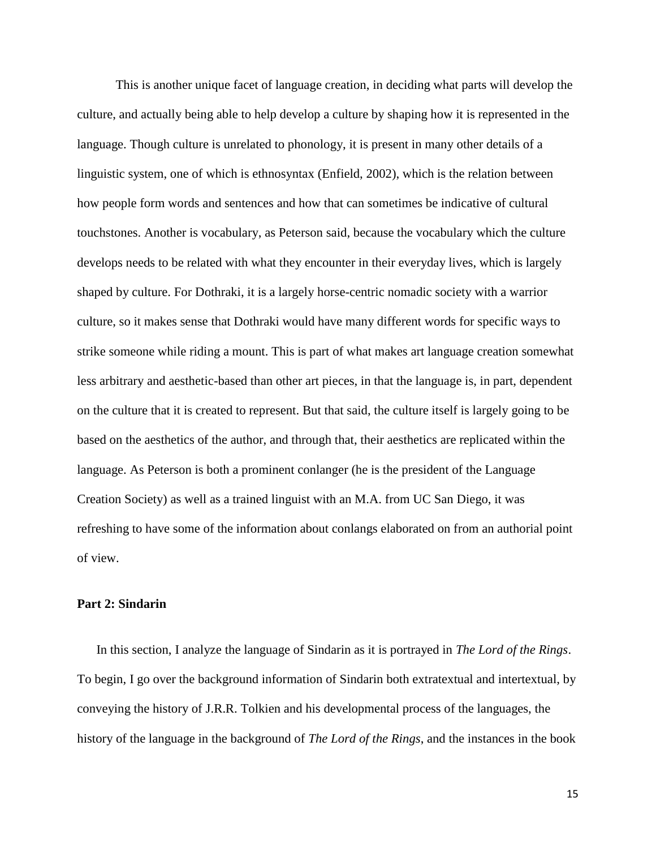This is another unique facet of language creation, in deciding what parts will develop the culture, and actually being able to help develop a culture by shaping how it is represented in the language. Though culture is unrelated to phonology, it is present in many other details of a linguistic system, one of which is ethnosyntax (Enfield, 2002), which is the relation between how people form words and sentences and how that can sometimes be indicative of cultural touchstones. Another is vocabulary, as Peterson said, because the vocabulary which the culture develops needs to be related with what they encounter in their everyday lives, which is largely shaped by culture. For Dothraki, it is a largely horse-centric nomadic society with a warrior culture, so it makes sense that Dothraki would have many different words for specific ways to strike someone while riding a mount. This is part of what makes art language creation somewhat less arbitrary and aesthetic-based than other art pieces, in that the language is, in part, dependent on the culture that it is created to represent. But that said, the culture itself is largely going to be based on the aesthetics of the author, and through that, their aesthetics are replicated within the language. As Peterson is both a prominent conlanger (he is the president of the Language Creation Society) as well as a trained linguist with an M.A. from UC San Diego, it was refreshing to have some of the information about conlangs elaborated on from an authorial point of view.

#### **Part 2: Sindarin**

In this section, I analyze the language of Sindarin as it is portrayed in *The Lord of the Rings*. To begin, I go over the background information of Sindarin both extratextual and intertextual, by conveying the history of J.R.R. Tolkien and his developmental process of the languages, the history of the language in the background of *The Lord of the Rings*, and the instances in the book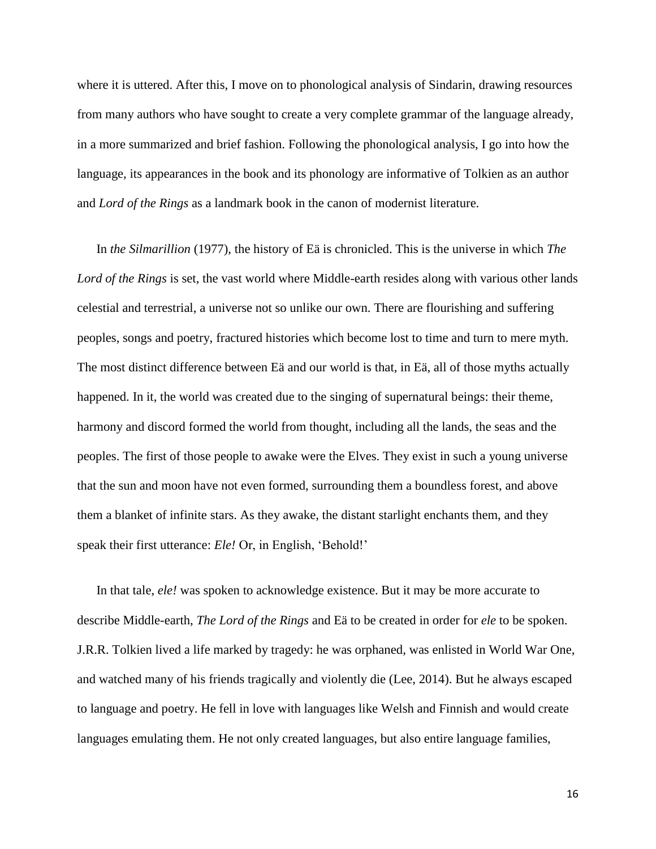where it is uttered. After this, I move on to phonological analysis of Sindarin, drawing resources from many authors who have sought to create a very complete grammar of the language already, in a more summarized and brief fashion. Following the phonological analysis, I go into how the language, its appearances in the book and its phonology are informative of Tolkien as an author and *Lord of the Rings* as a landmark book in the canon of modernist literature.

In *the Silmarillion* (1977), the history of [Eä](https://en.wikipedia.org/wiki/E%C3%A4) is chronicled. This is the universe in which *The Lord of the Rings* is set, the vast world where Middle-earth resides along with various other lands celestial and terrestrial, a universe not so unlike our own. There are flourishing and suffering peoples, songs and poetry, fractured histories which become lost to time and turn to mere myth. The most distinct difference between [Eä](https://en.wikipedia.org/wiki/E%C3%A4) and our world is that, in [Eä,](https://en.wikipedia.org/wiki/E%C3%A4) all of those myths actually happened. In it, the world was created due to the singing of supernatural beings: their theme, harmony and discord formed the world from thought, including all the lands, the seas and the peoples. The first of those people to awake were the Elves. They exist in such a young universe that the sun and moon have not even formed, surrounding them a boundless forest, and above them a blanket of infinite stars. As they awake, the distant starlight enchants them, and they speak their first utterance: *Ele!* Or, in English, 'Behold!'

In that tale, *ele!* was spoken to acknowledge existence. But it may be more accurate to describe Middle-earth, *The Lord of the Rings* and [Eä](https://en.wikipedia.org/wiki/E%C3%A4) to be created in order for *ele* to be spoken. J.R.R. Tolkien lived a life marked by tragedy: he was orphaned, was enlisted in World War One, and watched many of his friends tragically and violently die (Lee, 2014). But he always escaped to language and poetry. He fell in love with languages like Welsh and Finnish and would create languages emulating them. He not only created languages, but also entire language families,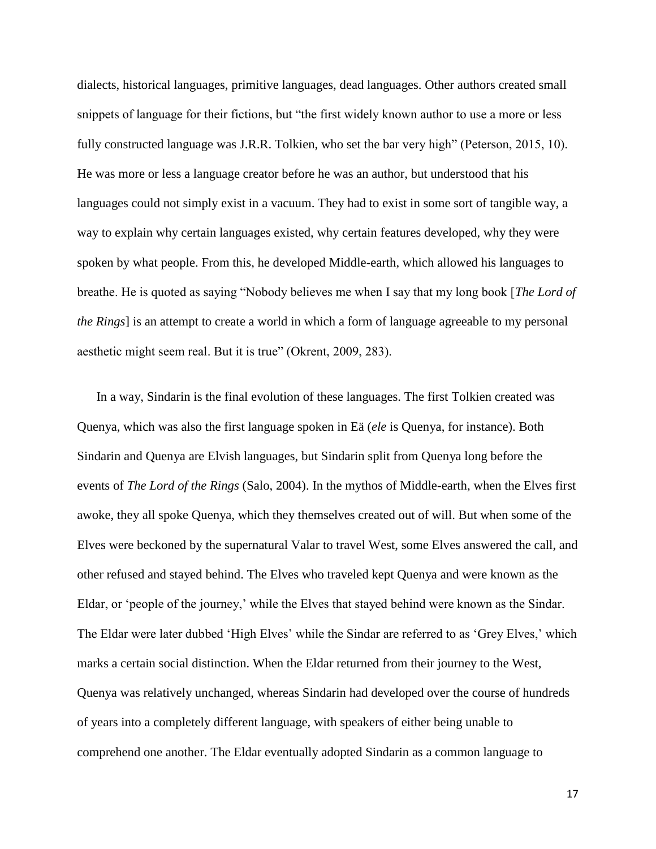dialects, historical languages, primitive languages, dead languages. Other authors created small snippets of language for their fictions, but "the first widely known author to use a more or less fully constructed language was J.R.R. Tolkien, who set the bar very high" (Peterson, 2015, 10). He was more or less a language creator before he was an author, but understood that his languages could not simply exist in a vacuum. They had to exist in some sort of tangible way, a way to explain why certain languages existed, why certain features developed, why they were spoken by what people. From this, he developed Middle-earth, which allowed his languages to breathe. He is quoted as saying "Nobody believes me when I say that my long book [*The Lord of the Rings*] is an attempt to create a world in which a form of language agreeable to my personal aesthetic might seem real. But it is true" (Okrent, 2009, 283).

In a way, Sindarin is the final evolution of these languages. The first Tolkien created was Quenya, which was also the first language spoken in [Eä](https://en.wikipedia.org/wiki/E%C3%A4) (*ele* is Quenya, for instance). Both Sindarin and Quenya are Elvish languages, but Sindarin split from Quenya long before the events of *The Lord of the Rings* (Salo, 2004). In the mythos of Middle-earth, when the Elves first awoke, they all spoke Quenya, which they themselves created out of will. But when some of the Elves were beckoned by the supernatural Valar to travel West, some Elves answered the call, and other refused and stayed behind. The Elves who traveled kept Quenya and were known as the Eldar, or 'people of the journey,' while the Elves that stayed behind were known as the Sindar. The Eldar were later dubbed 'High Elves' while the Sindar are referred to as 'Grey Elves,' which marks a certain social distinction. When the Eldar returned from their journey to the West, Quenya was relatively unchanged, whereas Sindarin had developed over the course of hundreds of years into a completely different language, with speakers of either being unable to comprehend one another. The Eldar eventually adopted Sindarin as a common language to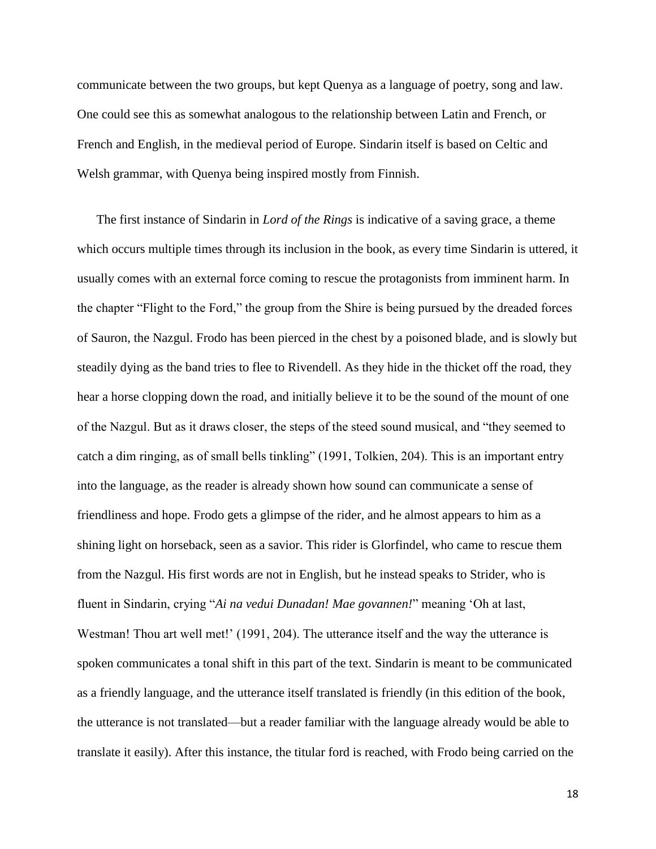communicate between the two groups, but kept Quenya as a language of poetry, song and law. One could see this as somewhat analogous to the relationship between Latin and French, or French and English, in the medieval period of Europe. Sindarin itself is based on Celtic and Welsh grammar, with Quenya being inspired mostly from Finnish.

The first instance of Sindarin in *Lord of the Rings* is indicative of a saving grace, a theme which occurs multiple times through its inclusion in the book, as every time Sindarin is uttered, it usually comes with an external force coming to rescue the protagonists from imminent harm. In the chapter "Flight to the Ford," the group from the Shire is being pursued by the dreaded forces of Sauron, the Nazgul. Frodo has been pierced in the chest by a poisoned blade, and is slowly but steadily dying as the band tries to flee to Rivendell. As they hide in the thicket off the road, they hear a horse clopping down the road, and initially believe it to be the sound of the mount of one of the Nazgul. But as it draws closer, the steps of the steed sound musical, and "they seemed to catch a dim ringing, as of small bells tinkling" (1991, Tolkien, 204). This is an important entry into the language, as the reader is already shown how sound can communicate a sense of friendliness and hope. Frodo gets a glimpse of the rider, and he almost appears to him as a shining light on horseback, seen as a savior. This rider is Glorfindel, who came to rescue them from the Nazgul. His first words are not in English, but he instead speaks to Strider, who is fluent in Sindarin, crying "*Ai na vedui Dunadan! Mae govannen!*" meaning 'Oh at last, Westman! Thou art well met!' (1991, 204). The utterance itself and the way the utterance is spoken communicates a tonal shift in this part of the text. Sindarin is meant to be communicated as a friendly language, and the utterance itself translated is friendly (in this edition of the book, the utterance is not translated—but a reader familiar with the language already would be able to translate it easily). After this instance, the titular ford is reached, with Frodo being carried on the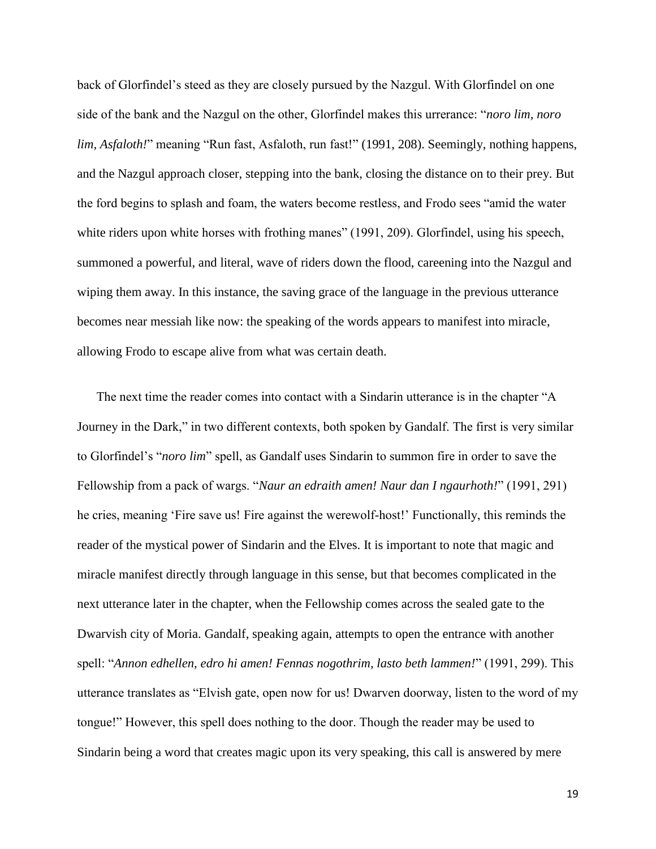back of Glorfindel's steed as they are closely pursued by the Nazgul. With Glorfindel on one side of the bank and the Nazgul on the other, Glorfindel makes this urrerance: "*noro lim, noro lim, Asfaloth!*" meaning "Run fast, Asfaloth, run fast!" (1991, 208). Seemingly, nothing happens, and the Nazgul approach closer, stepping into the bank, closing the distance on to their prey. But the ford begins to splash and foam, the waters become restless, and Frodo sees "amid the water white riders upon white horses with frothing manes" (1991, 209). Glorfindel, using his speech, summoned a powerful, and literal, wave of riders down the flood, careening into the Nazgul and wiping them away. In this instance, the saving grace of the language in the previous utterance becomes near messiah like now: the speaking of the words appears to manifest into miracle, allowing Frodo to escape alive from what was certain death.

The next time the reader comes into contact with a Sindarin utterance is in the chapter "A Journey in the Dark," in two different contexts, both spoken by Gandalf. The first is very similar to Glorfindel's "*noro lim*" spell, as Gandalf uses Sindarin to summon fire in order to save the Fellowship from a pack of wargs. "*Naur an edraith amen! Naur dan I ngaurhoth!*" (1991, 291) he cries, meaning 'Fire save us! Fire against the werewolf-host!' Functionally, this reminds the reader of the mystical power of Sindarin and the Elves. It is important to note that magic and miracle manifest directly through language in this sense, but that becomes complicated in the next utterance later in the chapter, when the Fellowship comes across the sealed gate to the Dwarvish city of Moria. Gandalf, speaking again, attempts to open the entrance with another spell: "*Annon edhellen, edro hi amen! Fennas nogothrim, lasto beth lammen!*" (1991, 299). This utterance translates as "Elvish gate, open now for us! Dwarven doorway, listen to the word of my tongue!" However, this spell does nothing to the door. Though the reader may be used to Sindarin being a word that creates magic upon its very speaking, this call is answered by mere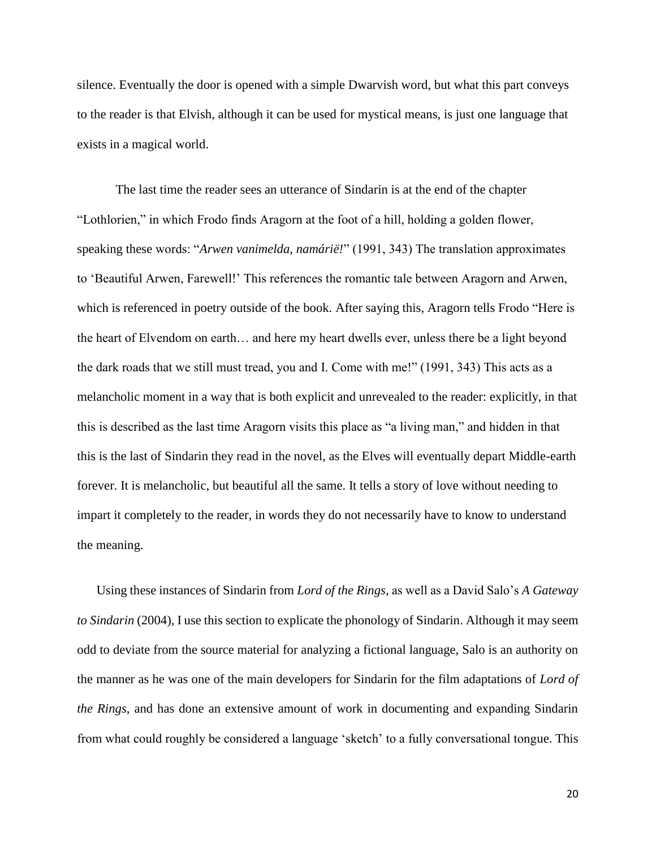silence. Eventually the door is opened with a simple Dwarvish word, but what this part conveys to the reader is that Elvish, although it can be used for mystical means, is just one language that exists in a magical world.

The last time the reader sees an utterance of Sindarin is at the end of the chapter "Lothlorien," in which Frodo finds Aragorn at the foot of a hill, holding a golden flower, speaking these words: "*Arwen vanimelda, namárië!*" (1991, 343) The translation approximates to 'Beautiful Arwen, Farewell!' This references the romantic tale between Aragorn and Arwen, which is referenced in poetry outside of the book. After saying this, Aragorn tells Frodo "Here is the heart of Elvendom on earth… and here my heart dwells ever, unless there be a light beyond the dark roads that we still must tread, you and I. Come with me!" (1991, 343) This acts as a melancholic moment in a way that is both explicit and unrevealed to the reader: explicitly, in that this is described as the last time Aragorn visits this place as "a living man," and hidden in that this is the last of Sindarin they read in the novel, as the Elves will eventually depart Middle-earth forever. It is melancholic, but beautiful all the same. It tells a story of love without needing to impart it completely to the reader, in words they do not necessarily have to know to understand the meaning.

Using these instances of Sindarin from *Lord of the Rings,* as well as a David Salo's *A Gateway to Sindarin* (2004), I use this section to explicate the phonology of Sindarin. Although it may seem odd to deviate from the source material for analyzing a fictional language, Salo is an authority on the manner as he was one of the main developers for Sindarin for the film adaptations of *Lord of the Rings*, and has done an extensive amount of work in documenting and expanding Sindarin from what could roughly be considered a language 'sketch' to a fully conversational tongue. This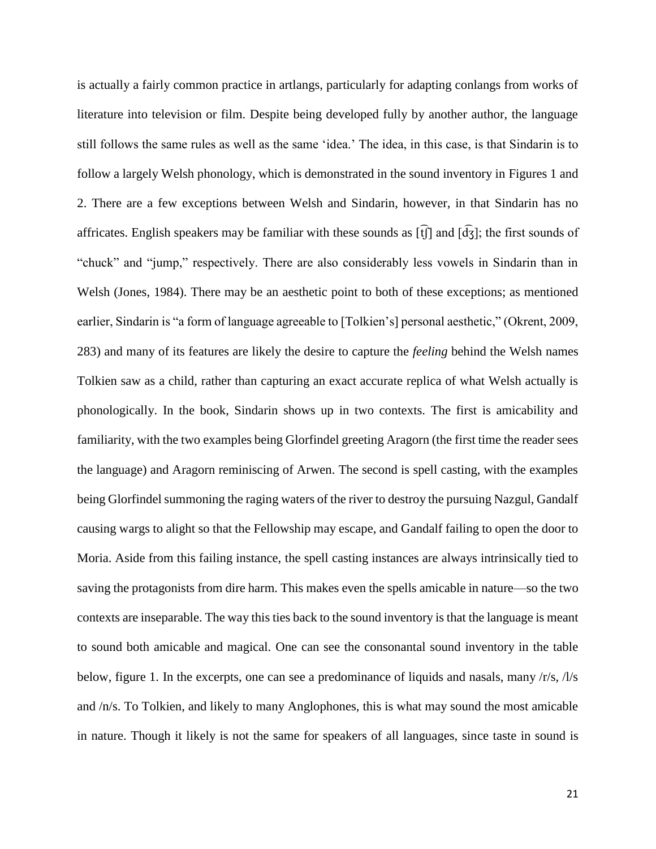is actually a fairly common practice in artlangs, particularly for adapting conlangs from works of literature into television or film. Despite being developed fully by another author, the language still follows the same rules as well as the same 'idea.' The idea, in this case, is that Sindarin is to follow a largely Welsh phonology, which is demonstrated in the sound inventory in Figures 1 and 2. There are a few exceptions between Welsh and Sindarin, however, in that Sindarin has no affricates. English speakers may be familiar with these sounds as  $[f]$  and  $[g]$ ; the first sounds of "chuck" and "jump," respectively. There are also considerably less vowels in Sindarin than in Welsh (Jones, 1984). There may be an aesthetic point to both of these exceptions; as mentioned earlier, Sindarin is "a form of language agreeable to [Tolkien's] personal aesthetic," (Okrent, 2009, 283) and many of its features are likely the desire to capture the *feeling* behind the Welsh names Tolkien saw as a child, rather than capturing an exact accurate replica of what Welsh actually is phonologically. In the book, Sindarin shows up in two contexts. The first is amicability and familiarity, with the two examples being Glorfindel greeting Aragorn (the first time the reader sees the language) and Aragorn reminiscing of Arwen. The second is spell casting, with the examples being Glorfindel summoning the raging waters of the river to destroy the pursuing Nazgul, Gandalf causing wargs to alight so that the Fellowship may escape, and Gandalf failing to open the door to Moria. Aside from this failing instance, the spell casting instances are always intrinsically tied to saving the protagonists from dire harm. This makes even the spells amicable in nature—so the two contexts are inseparable. The way this ties back to the sound inventory is that the language is meant to sound both amicable and magical. One can see the consonantal sound inventory in the table below, figure 1. In the excerpts, one can see a predominance of liquids and nasals, many  $\frac{r}{s}$ ,  $\frac{1}{s}$ and /n/s. To Tolkien, and likely to many Anglophones, this is what may sound the most amicable in nature. Though it likely is not the same for speakers of all languages, since taste in sound is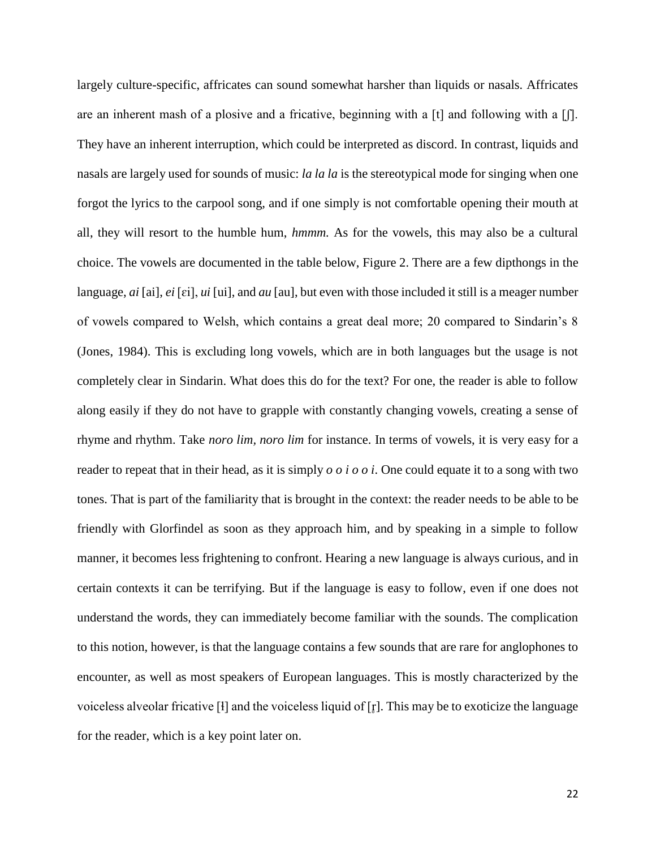largely culture-specific, affricates can sound somewhat harsher than liquids or nasals. Affricates are an inherent mash of a plosive and a fricative, beginning with a  $[t]$  and following with a  $[f]$ . They have an inherent interruption, which could be interpreted as discord. In contrast, liquids and nasals are largely used for sounds of music: *la la la* is the stereotypical mode for singing when one forgot the lyrics to the carpool song, and if one simply is not comfortable opening their mouth at all, they will resort to the humble hum, *hmmm.* As for the vowels, this may also be a cultural choice. The vowels are documented in the table below, Figure 2. There are a few dipthongs in the language, *ai* [ai], *ei* [ɛi], *ui* [ui], and *au* [au], but even with those included it still is a meager number of vowels compared to Welsh, which contains a great deal more; 20 compared to Sindarin's 8 (Jones, 1984). This is excluding long vowels, which are in both languages but the usage is not completely clear in Sindarin. What does this do for the text? For one, the reader is able to follow along easily if they do not have to grapple with constantly changing vowels, creating a sense of rhyme and rhythm. Take *noro lim, noro lim* for instance. In terms of vowels, it is very easy for a reader to repeat that in their head, as it is simply *o o i o o i*. One could equate it to a song with two tones. That is part of the familiarity that is brought in the context: the reader needs to be able to be friendly with Glorfindel as soon as they approach him, and by speaking in a simple to follow manner, it becomes less frightening to confront. Hearing a new language is always curious, and in certain contexts it can be terrifying. But if the language is easy to follow, even if one does not understand the words, they can immediately become familiar with the sounds. The complication to this notion, however, is that the language contains a few sounds that are rare for anglophones to encounter, as well as most speakers of European languages. This is mostly characterized by the voiceless alveolar fricative  $\lceil \cdot \rceil$  and the voiceless liquid of  $\lceil \cdot \rceil$ . This may be to exoticize the language for the reader, which is a key point later on.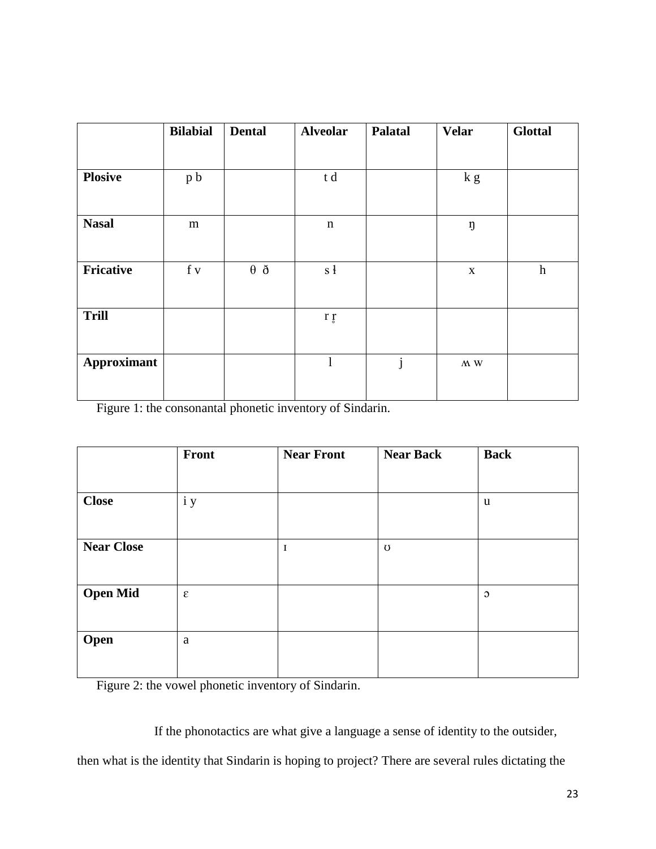|                    | <b>Bilabial</b> | <b>Dental</b>     | <b>Alveolar</b> | Palatal      | <b>Velar</b>             | <b>Glottal</b>   |
|--------------------|-----------------|-------------------|-----------------|--------------|--------------------------|------------------|
|                    |                 |                   |                 |              |                          |                  |
| <b>Plosive</b>     | p b             |                   | t d             |              | k g                      |                  |
|                    |                 |                   |                 |              |                          |                  |
| <b>Nasal</b>       | m               |                   | $\mathbf n$     |              | ŋ                        |                  |
|                    |                 |                   |                 |              |                          |                  |
| <b>Fricative</b>   | f v             | $\theta$ $\delta$ | s <sub>1</sub>  |              | $\mathbf X$              | $\boldsymbol{h}$ |
|                    |                 |                   |                 |              |                          |                  |
| <b>Trill</b>       |                 |                   | r <sub>f</sub>  |              |                          |                  |
|                    |                 |                   |                 |              |                          |                  |
| <b>Approximant</b> |                 |                   | $\mathbf{l}$    | $\mathbf{j}$ | $\Lambda\!\!\!\Lambda$ W |                  |
|                    |                 |                   |                 |              |                          |                  |

Figure 1: the consonantal phonetic inventory of Sindarin.

|                   | Front      | <b>Near Front</b> | <b>Near Back</b> | <b>Back</b>    |
|-------------------|------------|-------------------|------------------|----------------|
|                   |            |                   |                  |                |
| <b>Close</b>      | i y        |                   |                  | u              |
|                   |            |                   |                  |                |
| <b>Near Close</b> |            | $\mathbf I$       | $\sigma$         |                |
|                   |            |                   |                  |                |
| <b>Open Mid</b>   | $\epsilon$ |                   |                  | $\mathfrak{O}$ |
|                   |            |                   |                  |                |
| Open              | a          |                   |                  |                |
|                   |            |                   |                  |                |

Figure 2: the vowel phonetic inventory of Sindarin.

If the phonotactics are what give a language a sense of identity to the outsider,

then what is the identity that Sindarin is hoping to project? There are several rules dictating the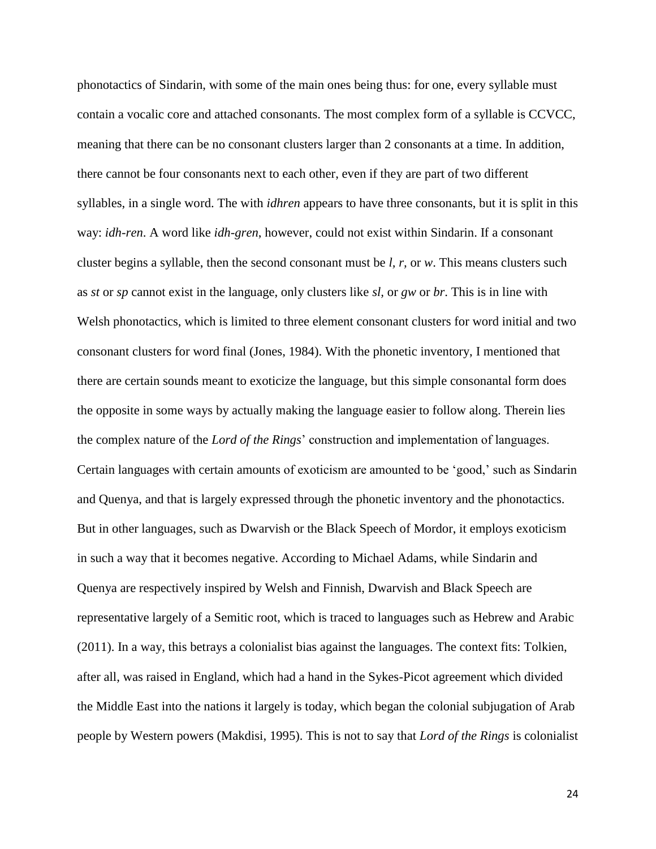phonotactics of Sindarin, with some of the main ones being thus: for one, every syllable must contain a vocalic core and attached consonants. The most complex form of a syllable is CCVCC, meaning that there can be no consonant clusters larger than 2 consonants at a time. In addition, there cannot be four consonants next to each other, even if they are part of two different syllables, in a single word. The with *idhren* appears to have three consonants, but it is split in this way: *idh*-*ren*. A word like *idh-gren*, however, could not exist within Sindarin. If a consonant cluster begins a syllable, then the second consonant must be *l, r,* or *w*. This means clusters such as *st* or *sp* cannot exist in the language, only clusters like *sl,* or *gw* or *br*. This is in line with Welsh phonotactics, which is limited to three element consonant clusters for word initial and two consonant clusters for word final (Jones, 1984). With the phonetic inventory, I mentioned that there are certain sounds meant to exoticize the language, but this simple consonantal form does the opposite in some ways by actually making the language easier to follow along. Therein lies the complex nature of the *Lord of the Rings*' construction and implementation of languages. Certain languages with certain amounts of exoticism are amounted to be 'good,' such as Sindarin and Quenya, and that is largely expressed through the phonetic inventory and the phonotactics. But in other languages, such as Dwarvish or the Black Speech of Mordor, it employs exoticism in such a way that it becomes negative. According to Michael Adams, while Sindarin and Quenya are respectively inspired by Welsh and Finnish, Dwarvish and Black Speech are representative largely of a Semitic root, which is traced to languages such as Hebrew and Arabic (2011). In a way, this betrays a colonialist bias against the languages. The context fits: Tolkien, after all, was raised in England, which had a hand in the Sykes-Picot agreement which divided the Middle East into the nations it largely is today, which began the colonial subjugation of Arab people by Western powers (Makdisi, 1995). This is not to say that *Lord of the Rings* is colonialist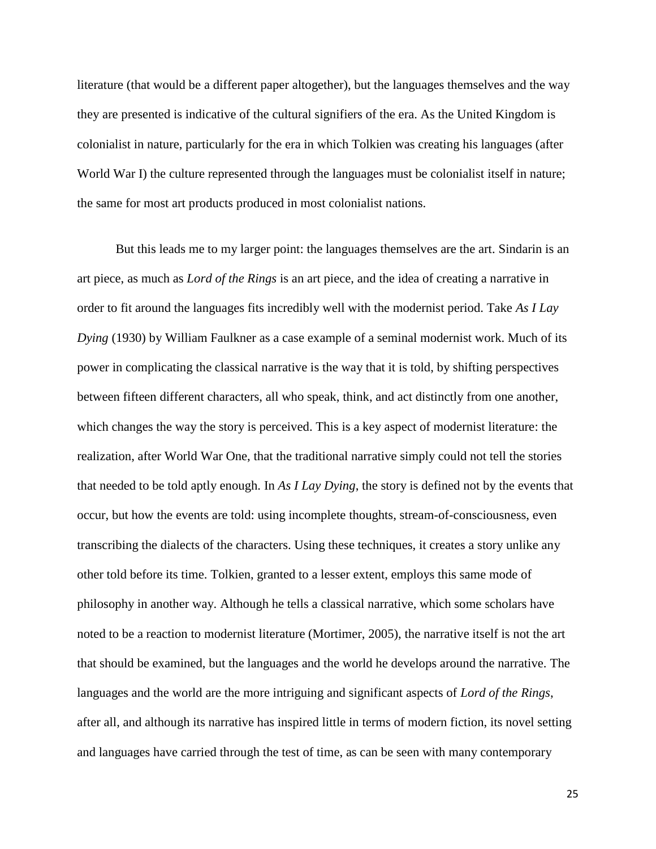literature (that would be a different paper altogether), but the languages themselves and the way they are presented is indicative of the cultural signifiers of the era. As the United Kingdom is colonialist in nature, particularly for the era in which Tolkien was creating his languages (after World War I) the culture represented through the languages must be colonialist itself in nature; the same for most art products produced in most colonialist nations.

But this leads me to my larger point: the languages themselves are the art. Sindarin is an art piece, as much as *Lord of the Rings* is an art piece, and the idea of creating a narrative in order to fit around the languages fits incredibly well with the modernist period. Take *As I Lay Dying* (1930) by William Faulkner as a case example of a seminal modernist work. Much of its power in complicating the classical narrative is the way that it is told, by shifting perspectives between fifteen different characters, all who speak, think, and act distinctly from one another, which changes the way the story is perceived. This is a key aspect of modernist literature: the realization, after World War One, that the traditional narrative simply could not tell the stories that needed to be told aptly enough. In *As I Lay Dying*, the story is defined not by the events that occur, but how the events are told: using incomplete thoughts, stream-of-consciousness, even transcribing the dialects of the characters. Using these techniques, it creates a story unlike any other told before its time. Tolkien, granted to a lesser extent, employs this same mode of philosophy in another way. Although he tells a classical narrative, which some scholars have noted to be a reaction to modernist literature (Mortimer, 2005), the narrative itself is not the art that should be examined, but the languages and the world he develops around the narrative. The languages and the world are the more intriguing and significant aspects of *Lord of the Rings*, after all, and although its narrative has inspired little in terms of modern fiction, its novel setting and languages have carried through the test of time, as can be seen with many contemporary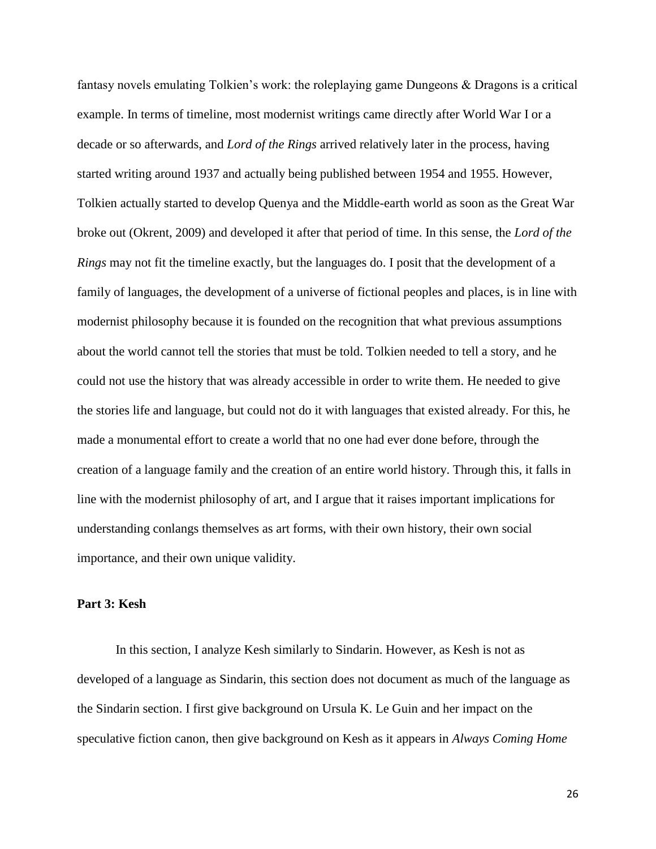fantasy novels emulating Tolkien's work: the roleplaying game Dungeons & Dragons is a critical example. In terms of timeline, most modernist writings came directly after World War I or a decade or so afterwards, and *Lord of the Rings* arrived relatively later in the process, having started writing around 1937 and actually being published between 1954 and 1955. However, Tolkien actually started to develop Quenya and the Middle-earth world as soon as the Great War broke out (Okrent, 2009) and developed it after that period of time. In this sense, the *Lord of the Rings* may not fit the timeline exactly, but the languages do. I posit that the development of a family of languages, the development of a universe of fictional peoples and places, is in line with modernist philosophy because it is founded on the recognition that what previous assumptions about the world cannot tell the stories that must be told. Tolkien needed to tell a story, and he could not use the history that was already accessible in order to write them. He needed to give the stories life and language, but could not do it with languages that existed already. For this, he made a monumental effort to create a world that no one had ever done before, through the creation of a language family and the creation of an entire world history. Through this, it falls in line with the modernist philosophy of art, and I argue that it raises important implications for understanding conlangs themselves as art forms, with their own history, their own social importance, and their own unique validity.

## **Part 3: Kesh**

In this section, I analyze Kesh similarly to Sindarin. However, as Kesh is not as developed of a language as Sindarin, this section does not document as much of the language as the Sindarin section. I first give background on Ursula K. Le Guin and her impact on the speculative fiction canon, then give background on Kesh as it appears in *Always Coming Home*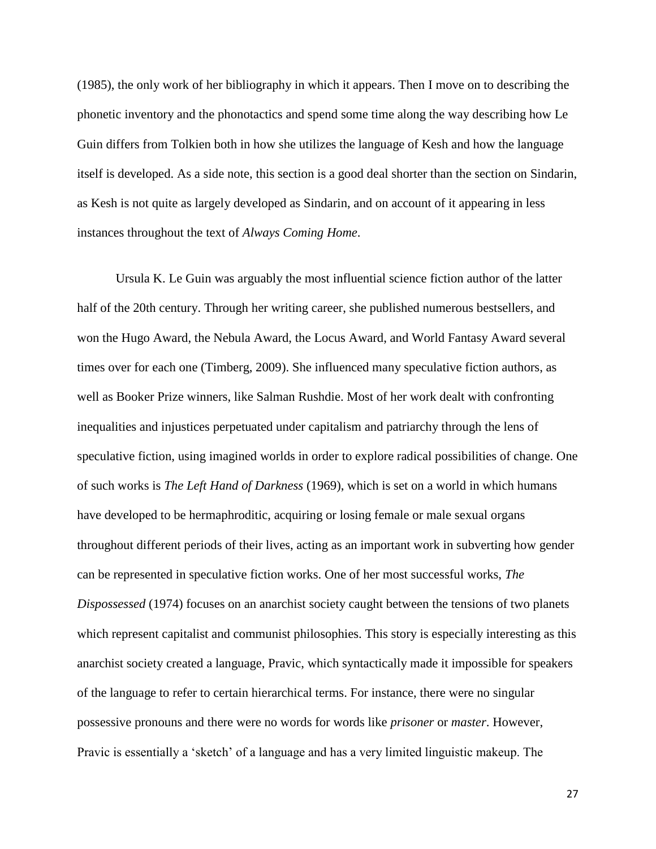(1985), the only work of her bibliography in which it appears. Then I move on to describing the phonetic inventory and the phonotactics and spend some time along the way describing how Le Guin differs from Tolkien both in how she utilizes the language of Kesh and how the language itself is developed. As a side note, this section is a good deal shorter than the section on Sindarin, as Kesh is not quite as largely developed as Sindarin, and on account of it appearing in less instances throughout the text of *Always Coming Home*.

Ursula K. Le Guin was arguably the most influential science fiction author of the latter half of the 20th century. Through her writing career, she published numerous bestsellers, and won the Hugo Award, the Nebula Award, the Locus Award, and World Fantasy Award several times over for each one (Timberg, 2009). She influenced many speculative fiction authors, as well as Booker Prize winners, like Salman Rushdie. Most of her work dealt with confronting inequalities and injustices perpetuated under capitalism and patriarchy through the lens of speculative fiction, using imagined worlds in order to explore radical possibilities of change. One of such works is *The Left Hand of Darkness* (1969), which is set on a world in which humans have developed to be hermaphroditic, acquiring or losing female or male sexual organs throughout different periods of their lives, acting as an important work in subverting how gender can be represented in speculative fiction works. One of her most successful works, *The Dispossessed* (1974) focuses on an anarchist society caught between the tensions of two planets which represent capitalist and communist philosophies. This story is especially interesting as this anarchist society created a language, Pravic, which syntactically made it impossible for speakers of the language to refer to certain hierarchical terms. For instance, there were no singular possessive pronouns and there were no words for words like *prisoner* or *master*. However, Pravic is essentially a 'sketch' of a language and has a very limited linguistic makeup. The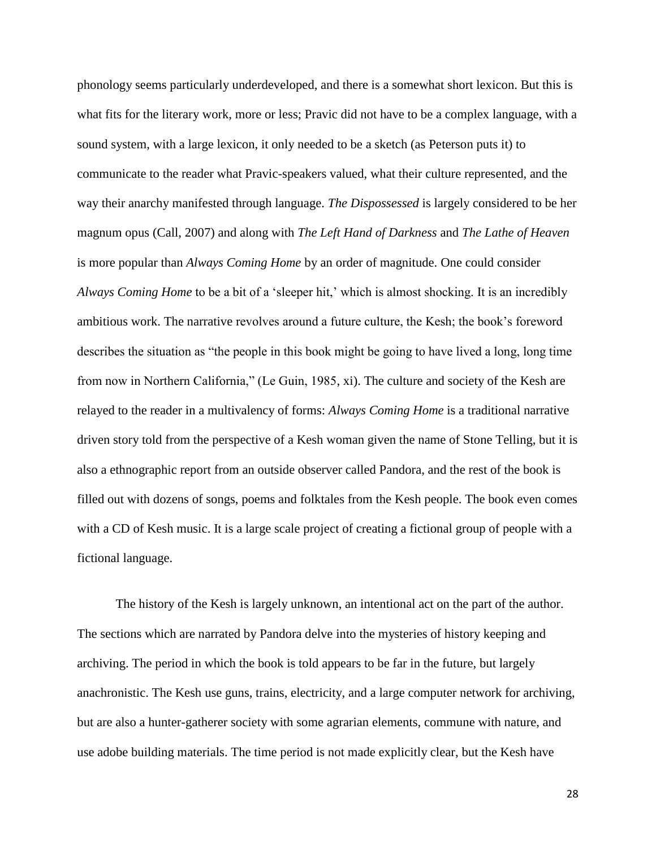phonology seems particularly underdeveloped, and there is a somewhat short lexicon. But this is what fits for the literary work, more or less; Pravic did not have to be a complex language, with a sound system, with a large lexicon, it only needed to be a sketch (as Peterson puts it) to communicate to the reader what Pravic-speakers valued, what their culture represented, and the way their anarchy manifested through language. *The Dispossessed* is largely considered to be her magnum opus (Call, 2007) and along with *The Left Hand of Darkness* and *The Lathe of Heaven* is more popular than *Always Coming Home* by an order of magnitude. One could consider *Always Coming Home* to be a bit of a 'sleeper hit,' which is almost shocking. It is an incredibly ambitious work. The narrative revolves around a future culture, the Kesh; the book's foreword describes the situation as "the people in this book might be going to have lived a long, long time from now in Northern California," (Le Guin, 1985, xi). The culture and society of the Kesh are relayed to the reader in a multivalency of forms: *Always Coming Home* is a traditional narrative driven story told from the perspective of a Kesh woman given the name of Stone Telling, but it is also a ethnographic report from an outside observer called Pandora, and the rest of the book is filled out with dozens of songs, poems and folktales from the Kesh people. The book even comes with a CD of Kesh music. It is a large scale project of creating a fictional group of people with a fictional language.

The history of the Kesh is largely unknown, an intentional act on the part of the author. The sections which are narrated by Pandora delve into the mysteries of history keeping and archiving. The period in which the book is told appears to be far in the future, but largely anachronistic. The Kesh use guns, trains, electricity, and a large computer network for archiving, but are also a hunter-gatherer society with some agrarian elements, commune with nature, and use adobe building materials. The time period is not made explicitly clear, but the Kesh have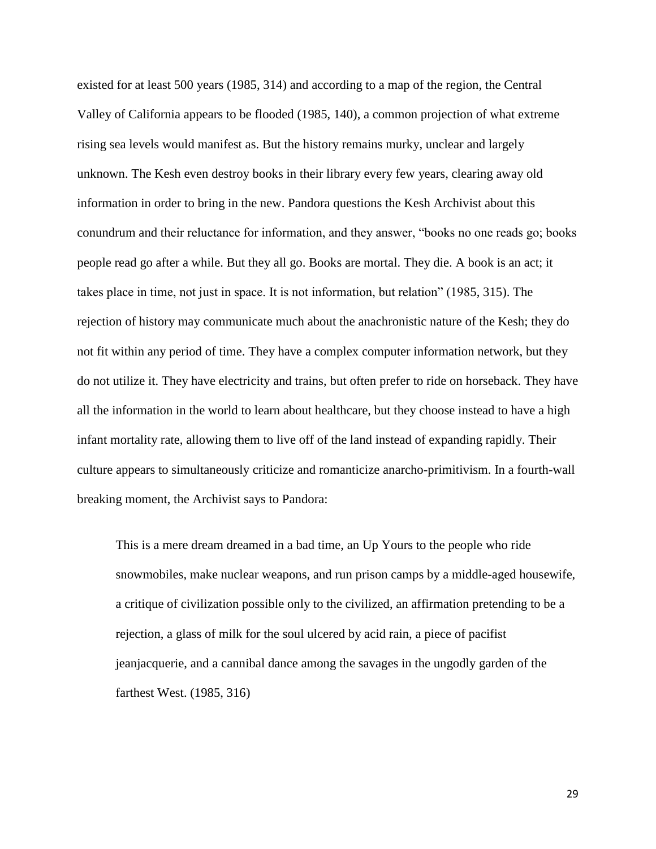existed for at least 500 years (1985, 314) and according to a map of the region, the Central Valley of California appears to be flooded (1985, 140), a common projection of what extreme rising sea levels would manifest as. But the history remains murky, unclear and largely unknown. The Kesh even destroy books in their library every few years, clearing away old information in order to bring in the new. Pandora questions the Kesh Archivist about this conundrum and their reluctance for information, and they answer, "books no one reads go; books people read go after a while. But they all go. Books are mortal. They die. A book is an act; it takes place in time, not just in space. It is not information, but relation" (1985, 315). The rejection of history may communicate much about the anachronistic nature of the Kesh; they do not fit within any period of time. They have a complex computer information network, but they do not utilize it. They have electricity and trains, but often prefer to ride on horseback. They have all the information in the world to learn about healthcare, but they choose instead to have a high infant mortality rate, allowing them to live off of the land instead of expanding rapidly. Their culture appears to simultaneously criticize and romanticize anarcho-primitivism. In a fourth-wall breaking moment, the Archivist says to Pandora:

This is a mere dream dreamed in a bad time, an Up Yours to the people who ride snowmobiles, make nuclear weapons, and run prison camps by a middle-aged housewife, a critique of civilization possible only to the civilized, an affirmation pretending to be a rejection, a glass of milk for the soul ulcered by acid rain, a piece of pacifist jeanjacquerie, and a cannibal dance among the savages in the ungodly garden of the farthest West. (1985, 316)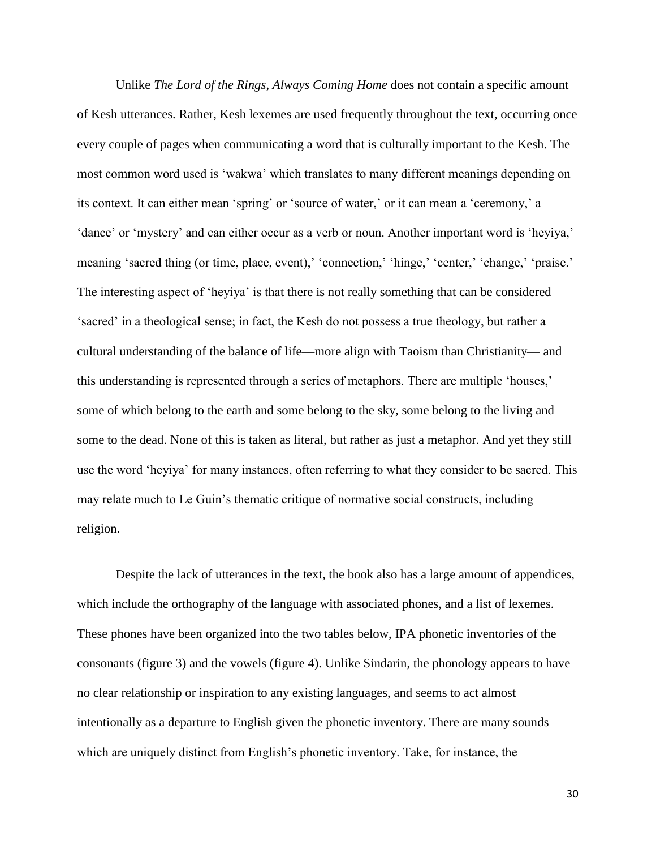Unlike *The Lord of the Rings*, *Always Coming Home* does not contain a specific amount of Kesh utterances. Rather, Kesh lexemes are used frequently throughout the text, occurring once every couple of pages when communicating a word that is culturally important to the Kesh. The most common word used is 'wakwa' which translates to many different meanings depending on its context. It can either mean 'spring' or 'source of water,' or it can mean a 'ceremony,' a 'dance' or 'mystery' and can either occur as a verb or noun. Another important word is 'heyiya,' meaning 'sacred thing (or time, place, event), 'connection,' 'hinge,' 'center,' 'change,' 'praise.' The interesting aspect of 'heyiya' is that there is not really something that can be considered 'sacred' in a theological sense; in fact, the Kesh do not possess a true theology, but rather a cultural understanding of the balance of life—more align with Taoism than Christianity— and this understanding is represented through a series of metaphors. There are multiple 'houses,' some of which belong to the earth and some belong to the sky, some belong to the living and some to the dead. None of this is taken as literal, but rather as just a metaphor. And yet they still use the word 'heyiya' for many instances, often referring to what they consider to be sacred. This may relate much to Le Guin's thematic critique of normative social constructs, including religion.

Despite the lack of utterances in the text, the book also has a large amount of appendices, which include the orthography of the language with associated phones, and a list of lexemes. These phones have been organized into the two tables below, IPA phonetic inventories of the consonants (figure 3) and the vowels (figure 4). Unlike Sindarin, the phonology appears to have no clear relationship or inspiration to any existing languages, and seems to act almost intentionally as a departure to English given the phonetic inventory. There are many sounds which are uniquely distinct from English's phonetic inventory. Take, for instance, the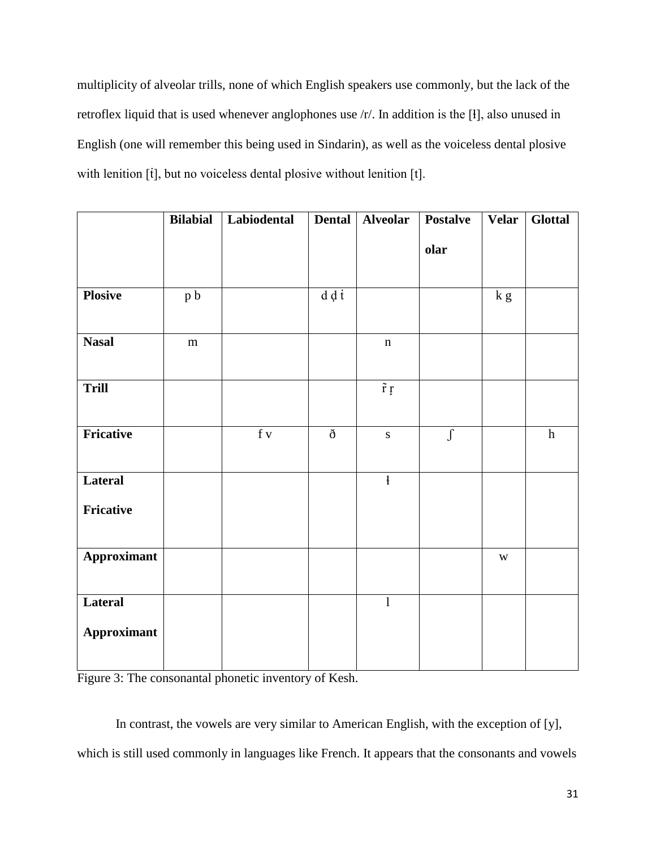multiplicity of alveolar trills, none of which English speakers use commonly, but the lack of the retroflex liquid that is used whenever anglophones use /r/. In addition is the [ɬ], also unused in English (one will remember this being used in Sindarin), as well as the voiceless dental plosive with lenition [t], but no voiceless dental plosive without lenition [t].

|                               | <b>Bilabial</b> | Labiodental   | Dental       | Alveolar                | <b>Postalve</b> | <b>Velar</b>            | <b>Glottal</b> |
|-------------------------------|-----------------|---------------|--------------|-------------------------|-----------------|-------------------------|----------------|
|                               |                 |               |              |                         | olar            |                         |                |
| <b>Plosive</b>                | p b             |               | $d \notin I$ |                         |                 | k g                     |                |
| <b>Nasal</b>                  | ${\bf m}$       |               |              | $\mathbf n$             |                 |                         |                |
| <b>Trill</b>                  |                 |               |              | $\tilde{r}$ r           |                 |                         |                |
| Fricative                     |                 | $\mathbf f$ v | $\eth$       | $\mathbf S$             | $\int$          |                         | $\,h$          |
| Lateral<br>Fricative          |                 |               |              | $\overline{\mathbf{1}}$ |                 |                         |                |
|                               |                 |               |              |                         |                 |                         |                |
| <b>Approximant</b>            |                 |               |              |                         |                 | $\ensuremath{\text{W}}$ |                |
| Lateral<br><b>Approximant</b> |                 |               |              | $\mathbf{1}$            |                 |                         |                |
|                               |                 |               |              |                         |                 |                         |                |

Figure 3: The consonantal phonetic inventory of Kesh.

In contrast, the vowels are very similar to American English, with the exception of [y], which is still used commonly in languages like French. It appears that the consonants and vowels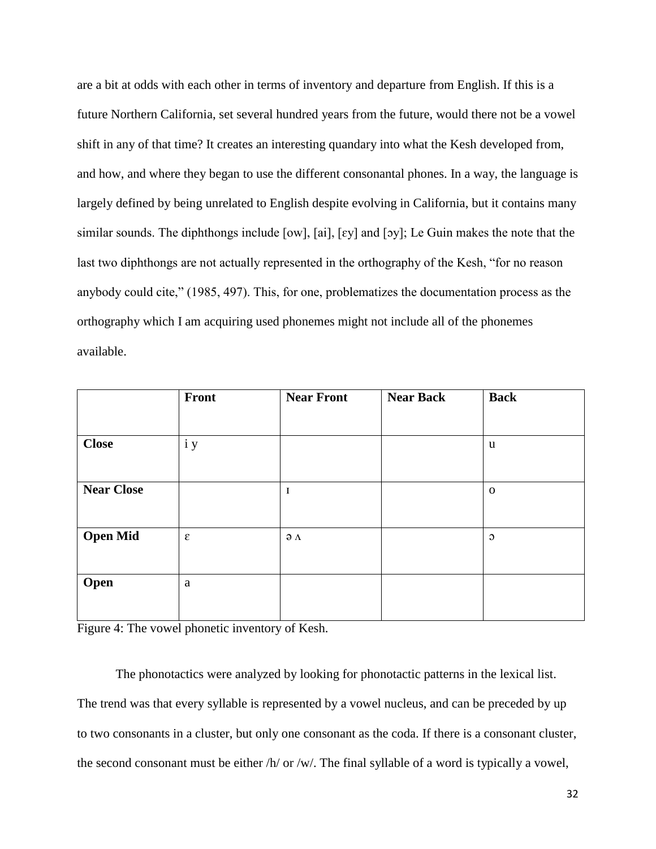are a bit at odds with each other in terms of inventory and departure from English. If this is a future Northern California, set several hundred years from the future, would there not be a vowel shift in any of that time? It creates an interesting quandary into what the Kesh developed from, and how, and where they began to use the different consonantal phones. In a way, the language is largely defined by being unrelated to English despite evolving in California, but it contains many similar sounds. The diphthongs include [ow], [ai], [ɛy] and [ɔy]; Le Guin makes the note that the last two diphthongs are not actually represented in the orthography of the Kesh, "for no reason anybody could cite," (1985, 497). This, for one, problematizes the documentation process as the orthography which I am acquiring used phonemes might not include all of the phonemes available.

|                   | Front                   | <b>Near Front</b>    | <b>Near Back</b> | <b>Back</b>  |
|-------------------|-------------------------|----------------------|------------------|--------------|
|                   |                         |                      |                  |              |
| <b>Close</b>      | i y                     |                      |                  | u            |
|                   |                         |                      |                  |              |
| <b>Near Close</b> |                         | I                    |                  | $\mathbf{o}$ |
|                   |                         |                      |                  |              |
| <b>Open Mid</b>   | $\boldsymbol{\epsilon}$ | $\partial$ $\Lambda$ |                  | $\circ$      |
|                   |                         |                      |                  |              |
| Open              | a                       |                      |                  |              |
|                   |                         |                      |                  |              |

Figure 4: The vowel phonetic inventory of Kesh.

The phonotactics were analyzed by looking for phonotactic patterns in the lexical list. The trend was that every syllable is represented by a vowel nucleus, and can be preceded by up to two consonants in a cluster, but only one consonant as the coda. If there is a consonant cluster, the second consonant must be either /h/ or /w/. The final syllable of a word is typically a vowel,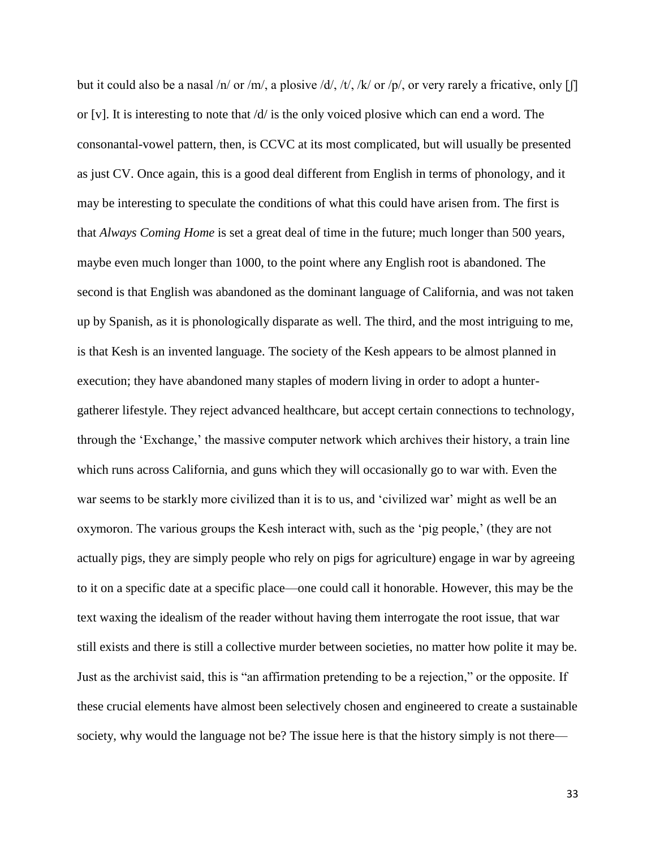but it could also be a nasal /n/ or /m/, a plosive /d/, /t/, /k/ or /p/, or very rarely a fricative, only  $[\![$   $\!]$ or [v]. It is interesting to note that  $\frac{d}{dx}$  is the only voiced plosive which can end a word. The consonantal-vowel pattern, then, is CCVC at its most complicated, but will usually be presented as just CV. Once again, this is a good deal different from English in terms of phonology, and it may be interesting to speculate the conditions of what this could have arisen from. The first is that *Always Coming Home* is set a great deal of time in the future; much longer than 500 years, maybe even much longer than 1000, to the point where any English root is abandoned. The second is that English was abandoned as the dominant language of California, and was not taken up by Spanish, as it is phonologically disparate as well. The third, and the most intriguing to me, is that Kesh is an invented language. The society of the Kesh appears to be almost planned in execution; they have abandoned many staples of modern living in order to adopt a huntergatherer lifestyle. They reject advanced healthcare, but accept certain connections to technology, through the 'Exchange,' the massive computer network which archives their history, a train line which runs across California, and guns which they will occasionally go to war with. Even the war seems to be starkly more civilized than it is to us, and 'civilized war' might as well be an oxymoron. The various groups the Kesh interact with, such as the 'pig people,' (they are not actually pigs, they are simply people who rely on pigs for agriculture) engage in war by agreeing to it on a specific date at a specific place—one could call it honorable. However, this may be the text waxing the idealism of the reader without having them interrogate the root issue, that war still exists and there is still a collective murder between societies, no matter how polite it may be. Just as the archivist said, this is "an affirmation pretending to be a rejection," or the opposite. If these crucial elements have almost been selectively chosen and engineered to create a sustainable society, why would the language not be? The issue here is that the history simply is not there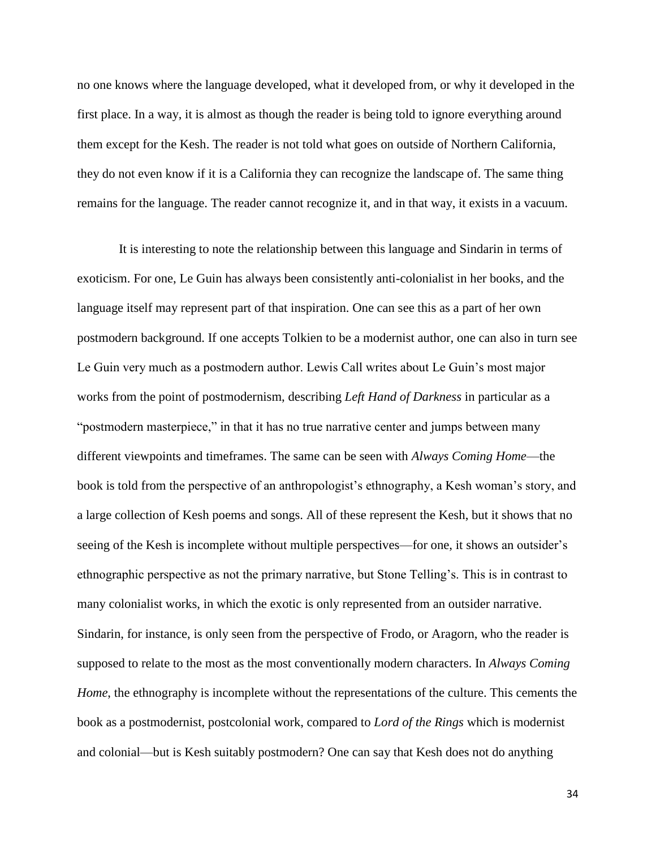no one knows where the language developed, what it developed from, or why it developed in the first place. In a way, it is almost as though the reader is being told to ignore everything around them except for the Kesh. The reader is not told what goes on outside of Northern California, they do not even know if it is a California they can recognize the landscape of. The same thing remains for the language. The reader cannot recognize it, and in that way, it exists in a vacuum.

It is interesting to note the relationship between this language and Sindarin in terms of exoticism. For one, Le Guin has always been consistently anti-colonialist in her books, and the language itself may represent part of that inspiration. One can see this as a part of her own postmodern background. If one accepts Tolkien to be a modernist author, one can also in turn see Le Guin very much as a postmodern author. Lewis Call writes about Le Guin's most major works from the point of postmodernism, describing *Left Hand of Darkness* in particular as a "postmodern masterpiece," in that it has no true narrative center and jumps between many different viewpoints and timeframes. The same can be seen with *Always Coming Home*—the book is told from the perspective of an anthropologist's ethnography, a Kesh woman's story, and a large collection of Kesh poems and songs. All of these represent the Kesh, but it shows that no seeing of the Kesh is incomplete without multiple perspectives—for one, it shows an outsider's ethnographic perspective as not the primary narrative, but Stone Telling's. This is in contrast to many colonialist works, in which the exotic is only represented from an outsider narrative. Sindarin, for instance, is only seen from the perspective of Frodo, or Aragorn, who the reader is supposed to relate to the most as the most conventionally modern characters. In *Always Coming Home*, the ethnography is incomplete without the representations of the culture. This cements the book as a postmodernist, postcolonial work, compared to *Lord of the Rings* which is modernist and colonial—but is Kesh suitably postmodern? One can say that Kesh does not do anything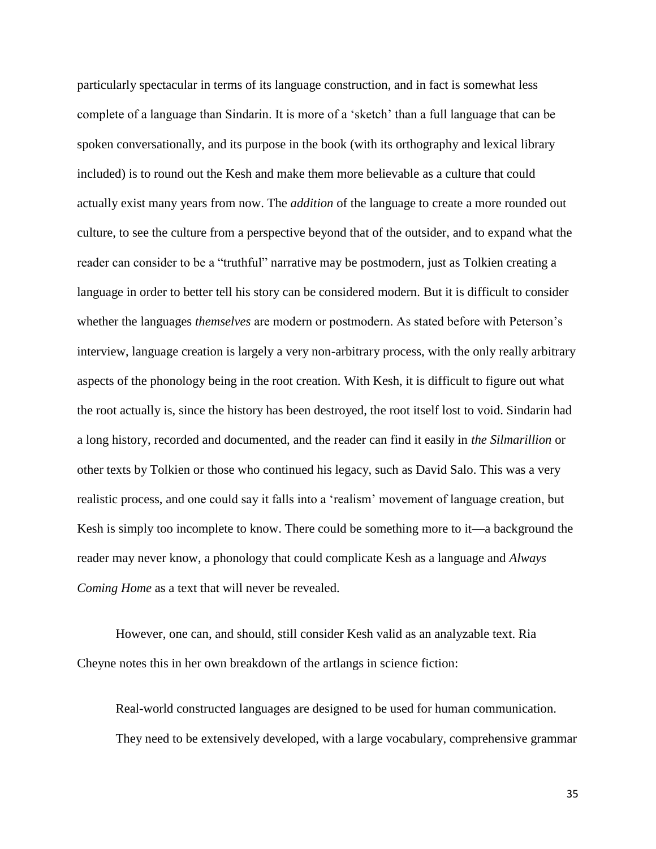particularly spectacular in terms of its language construction, and in fact is somewhat less complete of a language than Sindarin. It is more of a 'sketch' than a full language that can be spoken conversationally, and its purpose in the book (with its orthography and lexical library included) is to round out the Kesh and make them more believable as a culture that could actually exist many years from now. The *addition* of the language to create a more rounded out culture, to see the culture from a perspective beyond that of the outsider, and to expand what the reader can consider to be a "truthful" narrative may be postmodern, just as Tolkien creating a language in order to better tell his story can be considered modern. But it is difficult to consider whether the languages *themselves* are modern or postmodern. As stated before with Peterson's interview, language creation is largely a very non-arbitrary process, with the only really arbitrary aspects of the phonology being in the root creation. With Kesh, it is difficult to figure out what the root actually is, since the history has been destroyed, the root itself lost to void. Sindarin had a long history, recorded and documented, and the reader can find it easily in *the Silmarillion* or other texts by Tolkien or those who continued his legacy, such as David Salo. This was a very realistic process, and one could say it falls into a 'realism' movement of language creation, but Kesh is simply too incomplete to know. There could be something more to it—a background the reader may never know, a phonology that could complicate Kesh as a language and *Always Coming Home* as a text that will never be revealed.

However, one can, and should, still consider Kesh valid as an analyzable text. Ria Cheyne notes this in her own breakdown of the artlangs in science fiction:

Real-world constructed languages are designed to be used for human communication. They need to be extensively developed, with a large vocabulary, comprehensive grammar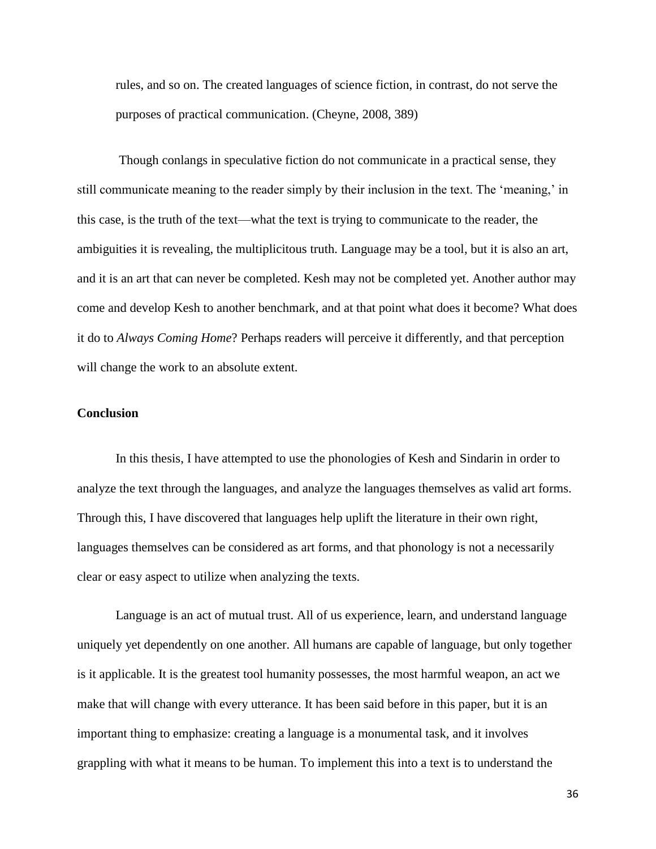rules, and so on. The created languages of science fiction, in contrast, do not serve the purposes of practical communication. (Cheyne, 2008, 389)

Though conlangs in speculative fiction do not communicate in a practical sense, they still communicate meaning to the reader simply by their inclusion in the text. The 'meaning,' in this case, is the truth of the text—what the text is trying to communicate to the reader, the ambiguities it is revealing, the multiplicitous truth. Language may be a tool, but it is also an art, and it is an art that can never be completed. Kesh may not be completed yet. Another author may come and develop Kesh to another benchmark, and at that point what does it become? What does it do to *Always Coming Home*? Perhaps readers will perceive it differently, and that perception will change the work to an absolute extent.

# **Conclusion**

In this thesis, I have attempted to use the phonologies of Kesh and Sindarin in order to analyze the text through the languages, and analyze the languages themselves as valid art forms. Through this, I have discovered that languages help uplift the literature in their own right, languages themselves can be considered as art forms, and that phonology is not a necessarily clear or easy aspect to utilize when analyzing the texts.

Language is an act of mutual trust. All of us experience, learn, and understand language uniquely yet dependently on one another. All humans are capable of language, but only together is it applicable. It is the greatest tool humanity possesses, the most harmful weapon, an act we make that will change with every utterance. It has been said before in this paper, but it is an important thing to emphasize: creating a language is a monumental task, and it involves grappling with what it means to be human. To implement this into a text is to understand the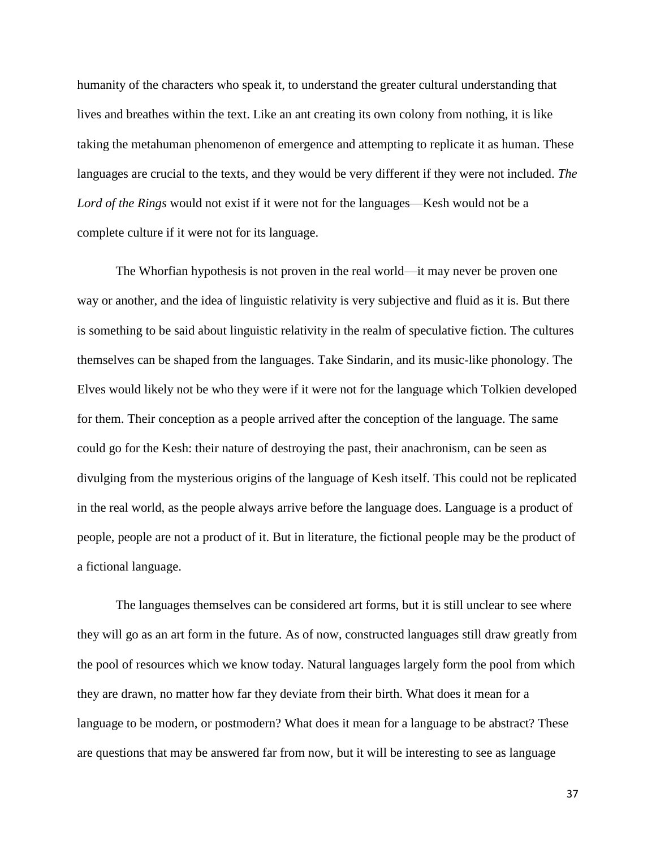humanity of the characters who speak it, to understand the greater cultural understanding that lives and breathes within the text. Like an ant creating its own colony from nothing, it is like taking the metahuman phenomenon of emergence and attempting to replicate it as human. These languages are crucial to the texts, and they would be very different if they were not included. *The Lord of the Rings* would not exist if it were not for the languages—Kesh would not be a complete culture if it were not for its language.

The Whorfian hypothesis is not proven in the real world—it may never be proven one way or another, and the idea of linguistic relativity is very subjective and fluid as it is. But there is something to be said about linguistic relativity in the realm of speculative fiction. The cultures themselves can be shaped from the languages. Take Sindarin, and its music-like phonology. The Elves would likely not be who they were if it were not for the language which Tolkien developed for them. Their conception as a people arrived after the conception of the language. The same could go for the Kesh: their nature of destroying the past, their anachronism, can be seen as divulging from the mysterious origins of the language of Kesh itself. This could not be replicated in the real world, as the people always arrive before the language does. Language is a product of people, people are not a product of it. But in literature, the fictional people may be the product of a fictional language.

The languages themselves can be considered art forms, but it is still unclear to see where they will go as an art form in the future. As of now, constructed languages still draw greatly from the pool of resources which we know today. Natural languages largely form the pool from which they are drawn, no matter how far they deviate from their birth. What does it mean for a language to be modern, or postmodern? What does it mean for a language to be abstract? These are questions that may be answered far from now, but it will be interesting to see as language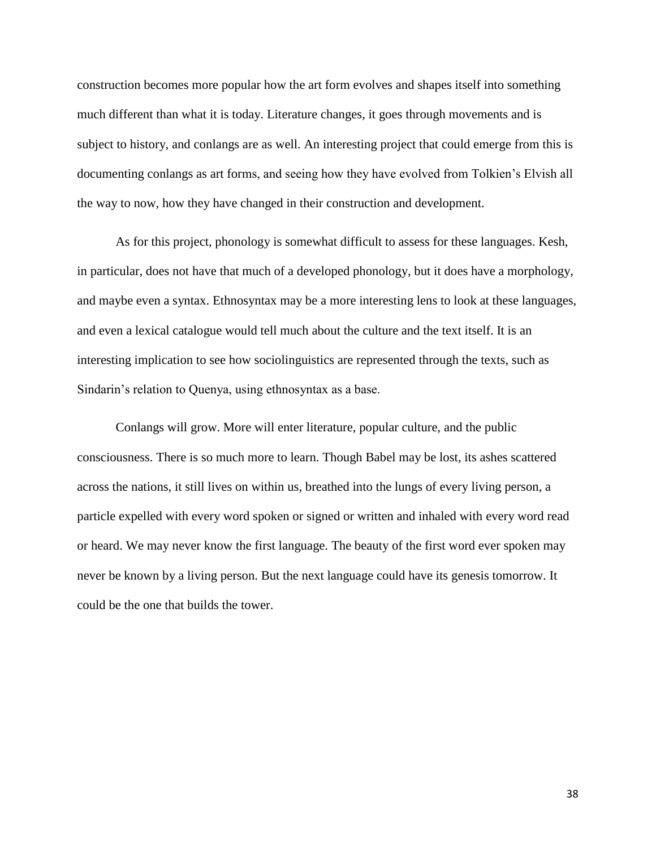construction becomes more popular how the art form evolves and shapes itself into something much different than what it is today. Literature changes, it goes through movements and is subject to history, and conlangs are as well. An interesting project that could emerge from this is documenting conlangs as art forms, and seeing how they have evolved from Tolkien's Elvish all the way to now, how they have changed in their construction and development.

As for this project, phonology is somewhat difficult to assess for these languages. Kesh, in particular, does not have that much of a developed phonology, but it does have a morphology, and maybe even a syntax. Ethnosyntax may be a more interesting lens to look at these languages, and even a lexical catalogue would tell much about the culture and the text itself. It is an interesting implication to see how sociolinguistics are represented through the texts, such as Sindarin's relation to Quenya, using ethnosyntax as a base.

Conlangs will grow. More will enter literature, popular culture, and the public consciousness. There is so much more to learn. Though Babel may be lost, its ashes scattered across the nations, it still lives on within us, breathed into the lungs of every living person, a particle expelled with every word spoken or signed or written and inhaled with every word read or heard. We may never know the first language. The beauty of the first word ever spoken may never be known by a living person. But the next language could have its genesis tomorrow. It could be the one that builds the tower.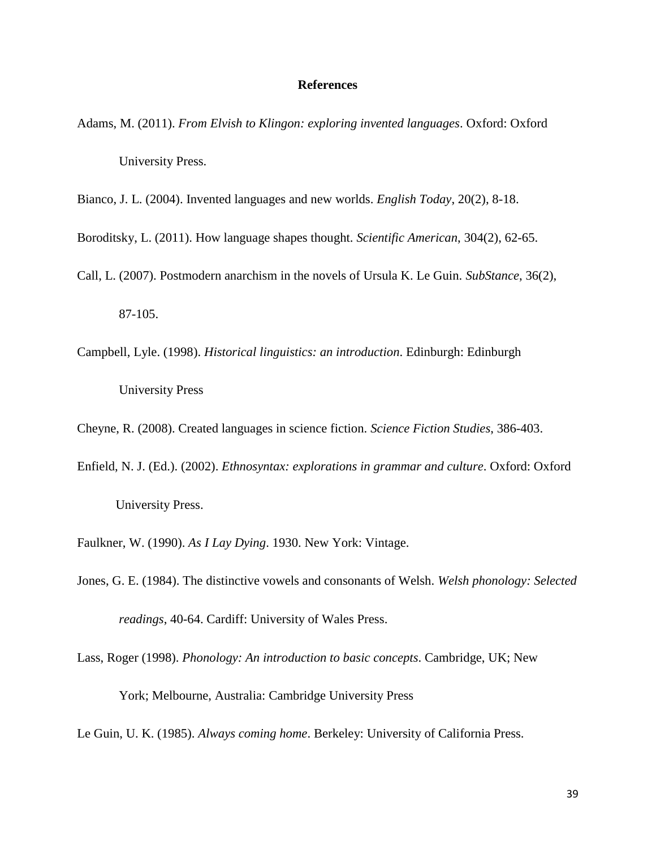#### **References**

- Adams, M. (2011). *From Elvish to Klingon: exploring invented languages*. Oxford: Oxford University Press.
- Bianco, J. L. (2004). Invented languages and new worlds. *English Today*, 20(2), 8-18.
- Boroditsky, L. (2011). How language shapes thought. *Scientific American*, 304(2), 62-65.
- Call, L. (2007). Postmodern anarchism in the novels of Ursula K. Le Guin. *SubStance*, 36(2),

87-105.

- Campbell, Lyle. (1998). *Historical linguistics: an introduction*. Edinburgh: Edinburgh University Press
- Cheyne, R. (2008). Created languages in science fiction. *Science Fiction Studies*, 386-403.
- Enfield, N. J. (Ed.). (2002). *Ethnosyntax: explorations in grammar and culture*. Oxford: Oxford University Press.
- Faulkner, W. (1990). *As I Lay Dying*. 1930. New York: Vintage.
- Jones, G. E. (1984). The distinctive vowels and consonants of Welsh. *Welsh phonology: Selected readings*, 40-64. Cardiff: University of Wales Press.
- Lass, Roger (1998). *[Phonology: An introduction to basic concepts](https://books.google.com/books?id=aTsAt3D6H58C&printsec=frontcover&dq=phonology#v=onepage&q&f=false)*. Cambridge, UK; New

York; Melbourne, Australia: [Cambridge University Press](https://en.wikipedia.org/wiki/Cambridge_University_Press)

Le Guin, U. K. (1985). *Always coming home*. Berkeley: University of California Press.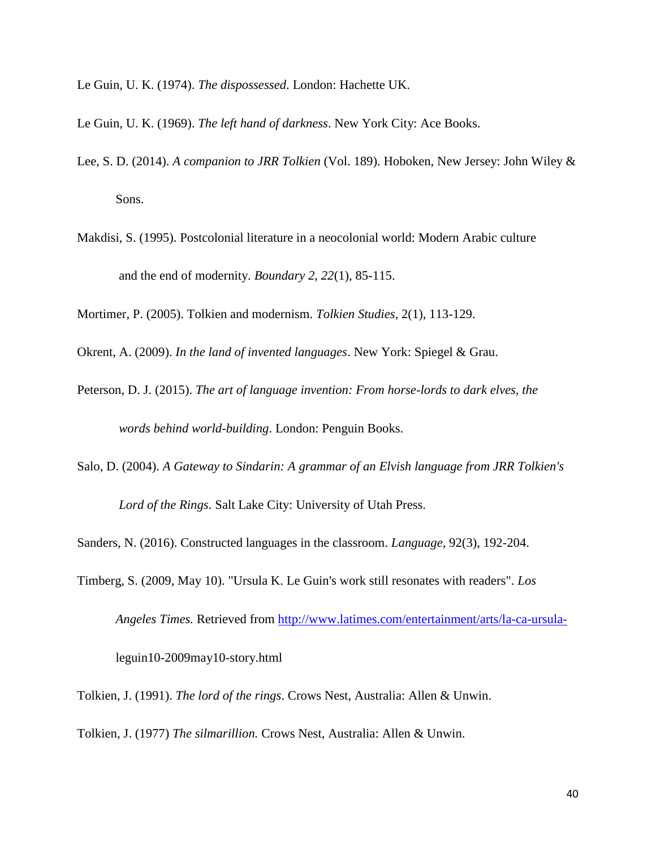- Le Guin, U. K. (1974). *The dispossessed*. London: Hachette UK.
- Le Guin, U. K. (1969). *The left hand of darkness*. New York City: Ace Books.
- Lee, S. D. (2014). *A companion to JRR Tolkien* (Vol. 189). Hoboken, New Jersey: John Wiley & Sons.
- Makdisi, S. (1995). Postcolonial literature in a neocolonial world: Modern Arabic culture and the end of modernity. *Boundary 2*, *22*(1), 85-115.

Mortimer, P. (2005). Tolkien and modernism. *Tolkien Studies*, 2(1), 113-129.

Okrent, A. (2009). *In the land of invented languages*. New York: Spiegel & Grau.

- Peterson, D. J. (2015). *The art of language invention: From horse-lords to dark elves, the words behind world-building*. London: Penguin Books.
- Salo, D. (2004). *A Gateway to Sindarin: A grammar of an Elvish language from JRR Tolkien's Lord of the Rings*. Salt Lake City: University of Utah Press.

Sanders, N. (2016). Constructed languages in the classroom. *Language*, 92(3), 192-204.

Timberg, S. (2009, May 10). "Ursula K. Le Guin's work still resonates with readers". *Los Angeles Times.* Retrieved from [http://www.latimes.com/entertainment/arts/la-ca-ursula](http://www.latimes.com/entertainment/arts/la-ca-ursula-)leguin10-2009may10-story.html

Tolkien, J. (1991). *The lord of the rings*. Crows Nest, Australia: Allen & Unwin.

Tolkien, J. (1977) *The silmarillion.* Crows Nest, Australia: Allen & Unwin.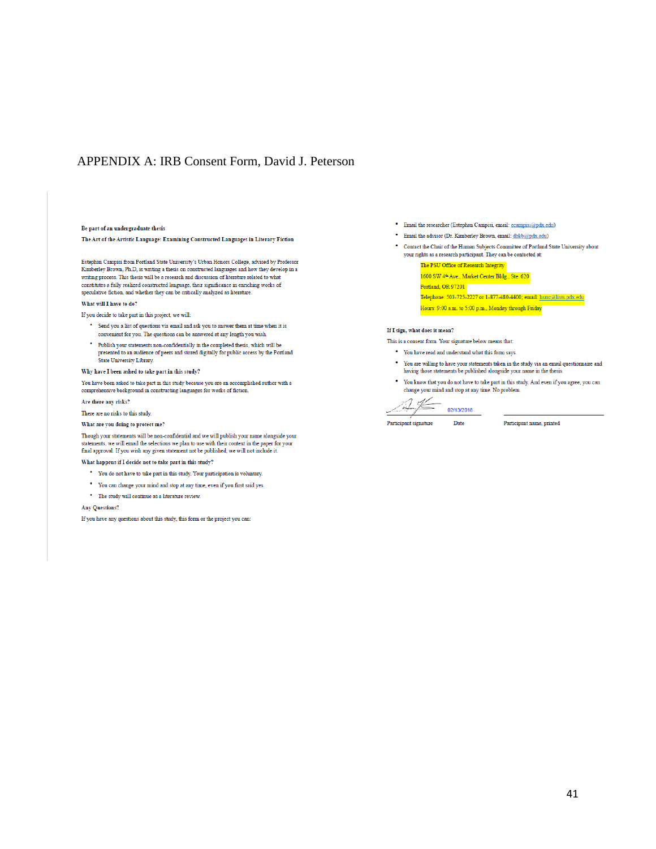# APPENDIX A: IRB Consent Form, David J. Peterson

#### Be part of an undergraduate thesis

The Art of the Artistic Language: Examining Constructed Languages in Literary Fiction

Estephan Campisi from Portland State University's Urban Honors College, advised by Professor Kimberley Brown, Ph.D., is writing a thesis on constructed languages and how they develop in a writing process. This thesis will be a research and discussion of literature related to what constitutes a fully realized constructed language, their significance in enriching works of speculative fiction, and whether they can be critically analyzed as literature.

#### What will I have to do?

If you decide to take part in this project, we will:

- \* Send you a list of questions via email and ask you to answer them at time when it is convenient for you. The questions can be answered at any length you wish
- \* Publish your statements non-confidentially in the completed thesis, which will be presented to an audience of peers and stored digitally for public access by the Portland State University Library.

#### Why have I been asked to take part in this study?

You have been asked to take part in this study because you are an accomplished author with a comprehensive background in constructing languages for works of fiction.

#### Are there any risks?

There are no risks to this study.

#### What are you doing to protect me?

Though your statements will be non-confidential and we will publish your name alongside your statements, we will email the selections we plan to use with their context in the paper for your<br>final approval. If you wish any given statement not be published, we will not include it.

What happens if I decide not to take part in this study?

- \* You do not have to take part in this study. Your participation is voluntary.
- \* You can change your mind and stop at any time, even if you first said yes.
- The study will continue as a literature review.

#### **Any Questions?**

If you have any questions about this study, this form or the project you can:

- · Email the researcher (Estephan Campisi, email: ecampisi@pdx.edu)
- · Email the advisor (Dr. Kimberley Brown, email: dbkb@pdx.edu)
- \* Contact the Chair of the Human Subjects Committee of Portland State University about your rights as a research participant. They can be contacted at:

The PSU Office of Research Integrity 1600 SW 4<sup>th</sup> Ave., Market Center Bldg., Ste. 620 Portland, OR 97201 Telephone: 503-725-2227 or 1-877-480-4400; email: hsrrc@lists.pdx.edu Hours: 9:00 a.m. to 5:00 p.m., Monday through Friday

#### If I sign, what does it mean?

This is a consent form. Your signature below means that:

- \* You have read and understand what this form says.
- \* You are willing to have your statements taken in the study via an email questionnaire and having those statements be published alongside your name in the thesis
- \* You know that you do not have to take part in this study. And even if you agree, you can change your mind and stop at any time. No problem.

 $\overline{14}$ 02/13/2018 Date

Participant signature

Participant name, printed